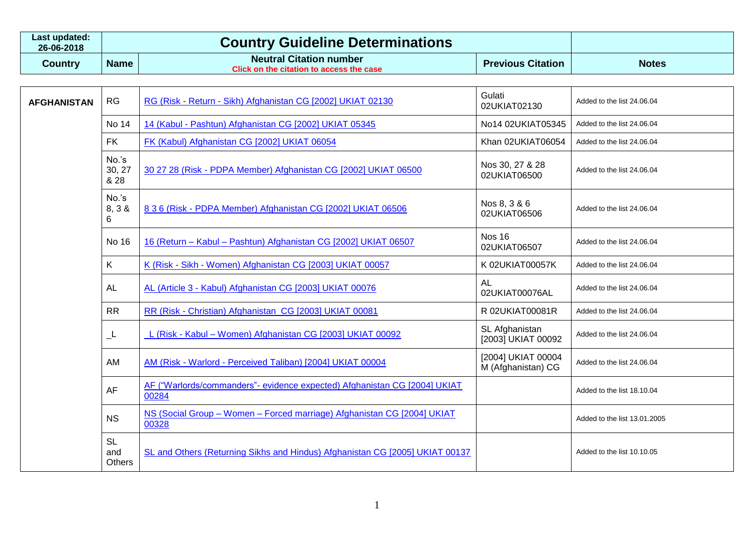| Last updated:<br>26-06-2018 | <b>Country Guideline Determinations</b> |                                                                                   |                          |              |
|-----------------------------|-----------------------------------------|-----------------------------------------------------------------------------------|--------------------------|--------------|
| Country                     | <b>Name</b>                             | <b>Neutral Citation number</b><br><b>Click on the citation to access the case</b> | <b>Previous Citation</b> | <b>Notes</b> |

| <b>AFGHANISTAN</b> | RG                                | RG (Risk - Return - Sikh) Afghanistan CG [2002] UKIAT 02130                        | Gulati<br>02UKIAT02130                   | Added to the list 24.06.04   |
|--------------------|-----------------------------------|------------------------------------------------------------------------------------|------------------------------------------|------------------------------|
|                    | No 14                             | 14 (Kabul - Pashtun) Afghanistan CG [2002] UKIAT 05345                             | No14 02UKIAT05345                        | Added to the list 24.06.04   |
|                    | <b>FK</b>                         | FK (Kabul) Afghanistan CG [2002] UKIAT 06054                                       | Khan 02UKIAT06054                        | Added to the list 24.06.04   |
|                    | No.'s<br>30, 27<br>& 28           | 30 27 28 (Risk - PDPA Member) Afghanistan CG [2002] UKIAT 06500                    | Nos 30, 27 & 28<br>02UKIAT06500          | Added to the list 24.06.04   |
|                    | No.'s<br>8, 3 &<br>6              | 8 3 6 (Risk - PDPA Member) Afghanistan CG [2002] UKIAT 06506                       | Nos 8, 3 & 6<br>02UKIAT06506             | Added to the list 24.06.04   |
|                    | No 16                             | 16 (Return - Kabul - Pashtun) Afghanistan CG [2002] UKIAT 06507                    | <b>Nos 16</b><br>02UKIAT06507            | Added to the list 24.06.04   |
|                    | K.                                | K (Risk - Sikh - Women) Afghanistan CG [2003] UKIAT 00057                          | K 02UKIAT00057K                          | Added to the list 24.06.04   |
|                    | <b>AL</b>                         | AL (Article 3 - Kabul) Afghanistan CG [2003] UKIAT 00076                           | AL<br>02UKIAT00076AL                     | Added to the list 24.06.04   |
|                    | <b>RR</b>                         | RR (Risk - Christian) Afghanistan CG [2003] UKIAT 00081                            | R 02UKIAT00081R                          | Added to the list 24.06.04   |
|                    | ᅩ                                 | L (Risk - Kabul – Women) Afghanistan CG [2003] UKIAT 00092                         | SL Afghanistan<br>[2003] UKIAT 00092     | Added to the list 24.06.04   |
|                    | AM                                | AM (Risk - Warlord - Perceived Taliban) [2004] UKIAT 00004                         | [2004] UKIAT 00004<br>M (Afghanistan) CG | Added to the list 24.06.04   |
|                    | <b>AF</b>                         | AF ("Warlords/commanders"- evidence expected) Afghanistan CG [2004] UKIAT<br>00284 |                                          | Added to the list 18.10.04   |
|                    | <b>NS</b>                         | NS (Social Group - Women - Forced marriage) Afghanistan CG [2004] UKIAT<br>00328   |                                          | Added to the list 13.01.2005 |
|                    | <b>SL</b><br>and<br><b>Others</b> | SL and Others (Returning Sikhs and Hindus) Afghanistan CG [2005] UKIAT 00137       |                                          | Added to the list 10.10.05   |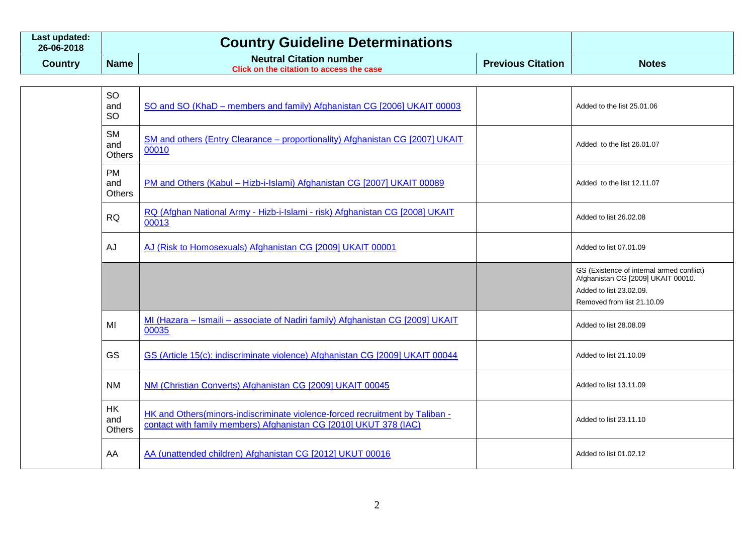| Last updated:<br>26-06-2018 | <b>Country Guideline Determinations</b> |                                                                            |                          |              |
|-----------------------------|-----------------------------------------|----------------------------------------------------------------------------|--------------------------|--------------|
| Country                     | <b>Name</b>                             | <b>Neutral Citation number</b><br>Click on the citation to access the case | <b>Previous Citation</b> | <b>Notes</b> |

| <b>SO</b><br>and<br><b>SO</b> | SO and SO (KhaD – members and family) Afghanistan CG [2006] UKAIT 00003                                                                           | Added to the list 25,01,06                                                                                                               |
|-------------------------------|---------------------------------------------------------------------------------------------------------------------------------------------------|------------------------------------------------------------------------------------------------------------------------------------------|
| <b>SM</b><br>and<br>Others    | SM and others (Entry Clearance – proportionality) Afghanistan CG [2007] UKAIT<br>00010                                                            | Added to the list 26.01.07                                                                                                               |
| <b>PM</b><br>and<br>Others    | PM and Others (Kabul - Hizb-i-Islami) Afghanistan CG [2007] UKAIT 00089                                                                           | Added to the list 12.11.07                                                                                                               |
| <b>RQ</b>                     | RQ (Afghan National Army - Hizb-i-Islami - risk) Afghanistan CG [2008] UKAIT<br>00013                                                             | Added to list 26,02,08                                                                                                                   |
| <b>AJ</b>                     | AJ (Risk to Homosexuals) Afghanistan CG [2009] UKAIT 00001                                                                                        | Added to list 07.01.09                                                                                                                   |
|                               |                                                                                                                                                   | GS (Existence of internal armed conflict)<br>Afghanistan CG [2009] UKAIT 00010.<br>Added to list 23.02.09.<br>Removed from list 21.10.09 |
| MI                            | MI (Hazara - Ismaili - associate of Nadiri family) Afghanistan CG [2009] UKAIT<br>00035                                                           | Added to list 28.08.09                                                                                                                   |
| GS                            | GS (Article 15(c): indiscriminate violence) Afghanistan CG [2009] UKAIT 00044                                                                     | Added to list 21,10.09                                                                                                                   |
| <b>NM</b>                     | NM (Christian Converts) Afghanistan CG [2009] UKAIT 00045                                                                                         | Added to list 13.11.09                                                                                                                   |
| <b>HK</b><br>and<br>Others    | HK and Others(minors-indiscriminate violence-forced recruitment by Taliban -<br>contact with family members) Afghanistan CG [2010] UKUT 378 (IAC) | Added to list 23.11.10                                                                                                                   |
| AA                            | AA (unattended children) Afghanistan CG [2012] UKUT 00016                                                                                         | Added to list 01.02.12                                                                                                                   |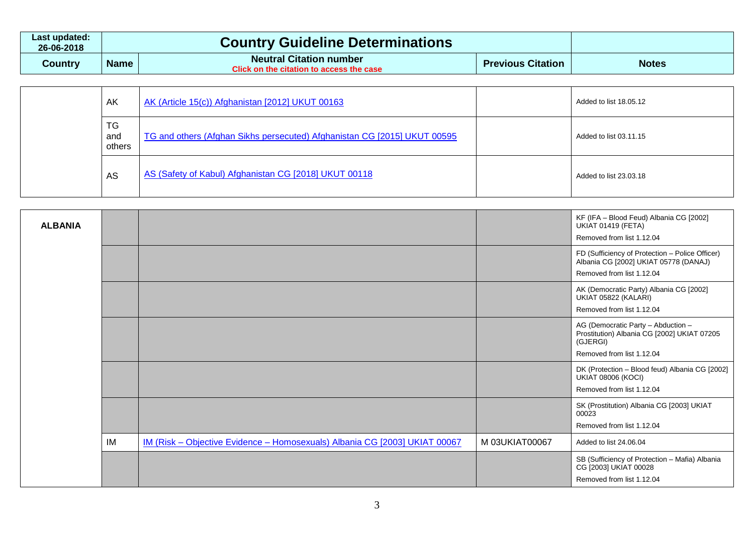| Last updated:<br>26-06-2018 | <b>Country Guideline Determinations</b> |                                                                            |                          |              |
|-----------------------------|-----------------------------------------|----------------------------------------------------------------------------|--------------------------|--------------|
| Country                     | <b>Name</b>                             | <b>Neutral Citation number</b><br>Click on the citation to access the case | <b>Previous Citation</b> | <b>Notes</b> |

|  | AK                  | AK (Article 15(c)) Afghanistan [2012] UKUT 00163                         | Added to list 18.05.12 |
|--|---------------------|--------------------------------------------------------------------------|------------------------|
|  | TG<br>and<br>others | TG and others (Afghan Sikhs persecuted) Afghanistan CG [2015] UKUT 00595 | Added to list 03.11.15 |
|  | AS                  | AS (Safety of Kabul) Afghanistan CG [2018] UKUT 00118                    | Added to list 23.03.18 |

| <b>ALBANIA</b> |    |                                                                            |                | KF (IFA - Blood Feud) Albania CG [2002]<br><b>UKIAT 01419 (FETA)</b><br>Removed from list 1.12.04                          |
|----------------|----|----------------------------------------------------------------------------|----------------|----------------------------------------------------------------------------------------------------------------------------|
|                |    |                                                                            |                | FD (Sufficiency of Protection - Police Officer)<br>Albania CG [2002] UKIAT 05778 (DANAJ)<br>Removed from list 1.12.04      |
|                |    |                                                                            |                | AK (Democratic Party) Albania CG [2002]<br>UKIAT 05822 (KALARI)<br>Removed from list 1.12.04                               |
|                |    |                                                                            |                | AG (Democratic Party - Abduction -<br>Prostitution) Albania CG [2002] UKIAT 07205<br>(GJERGI)<br>Removed from list 1.12.04 |
|                |    |                                                                            |                | DK (Protection - Blood feud) Albania CG [2002]<br><b>UKIAT 08006 (KOCI)</b><br>Removed from list 1.12.04                   |
|                |    |                                                                            |                | SK (Prostitution) Albania CG [2003] UKIAT<br>00023<br>Removed from list 1.12.04                                            |
|                | IM | IM (Risk - Objective Evidence - Homosexuals) Albania CG [2003] UKIAT 00067 | M 03UKIAT00067 | Added to list 24.06.04                                                                                                     |
|                |    |                                                                            |                | SB (Sufficiency of Protection - Mafia) Albania<br>CG [2003] UKIAT 00028<br>Removed from list 1.12.04                       |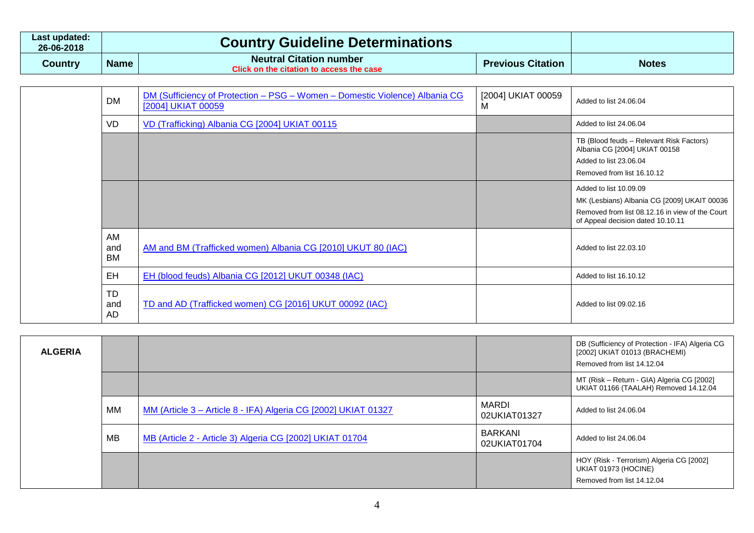| Last updated:<br>26-06-2018 |             | <b>Country Guideline Determinations</b>                                    |                          |              |
|-----------------------------|-------------|----------------------------------------------------------------------------|--------------------------|--------------|
| Country                     | <b>Name</b> | <b>Neutral Citation number</b><br>Click on the citation to access the case | <b>Previous Citation</b> | <b>Notes</b> |

| <b>DM</b>       | DM (Sufficiency of Protection - PSG - Women - Domestic Violence) Albania CG<br>[2004] UKIAT 00059 | [2004] UKIAT 00059<br>м | Added to list 24,06,04                                                                                                                                        |
|-----------------|---------------------------------------------------------------------------------------------------|-------------------------|---------------------------------------------------------------------------------------------------------------------------------------------------------------|
| VD              | VD (Trafficking) Albania CG [2004] UKIAT 00115                                                    |                         | Added to list 24.06.04                                                                                                                                        |
|                 |                                                                                                   |                         | TB (Blood feuds - Relevant Risk Factors)<br>Albania CG [2004] UKIAT 00158<br>Added to list 23.06.04<br>Removed from list 16.10.12                             |
|                 |                                                                                                   |                         | Added to list 10.09.09<br>MK (Lesbians) Albania CG [2009] UKAIT 00036<br>Removed from list 08.12.16 in view of the Court<br>of Appeal decision dated 10.10.11 |
| AM<br>and<br>BM | AM and BM (Trafficked women) Albania CG [2010] UKUT 80 (IAC)                                      |                         | Added to list 22.03.10                                                                                                                                        |
| EH              | EH (blood feuds) Albania CG [2012] UKUT 00348 (IAC)                                               |                         | Added to list 16.10.12                                                                                                                                        |
| TD<br>and<br>AD | TD and AD (Trafficked women) CG [2016] UKUT 00092 (IAC)                                           |                         | Added to list 09.02.16                                                                                                                                        |

| <b>ALGERIA</b> |    |                                                                |                              | DB (Sufficiency of Protection - IFA) Algeria CG<br>[2002] UKIAT 01013 (BRACHEMI)<br>Removed from list 14.12.04 |
|----------------|----|----------------------------------------------------------------|------------------------------|----------------------------------------------------------------------------------------------------------------|
|                |    |                                                                |                              | MT (Risk – Return - GIA) Algeria CG [2002]<br>UKIAT 01166 (TAALAH) Removed 14.12.04                            |
|                | МM | MM (Article 3 - Article 8 - IFA) Algeria CG [2002] UKIAT 01327 | <b>MARDI</b><br>02UKIAT01327 | Added to list 24.06.04                                                                                         |
|                | MВ | MB (Article 2 - Article 3) Algeria CG [2002] UKIAT 01704       | BARKANI<br>02UKIAT01704      | Added to list 24,06,04                                                                                         |
|                |    |                                                                |                              | HOY (Risk - Terrorism) Algeria CG [2002]<br>UKIAT 01973 (HOCINE)<br>Removed from list 14.12.04                 |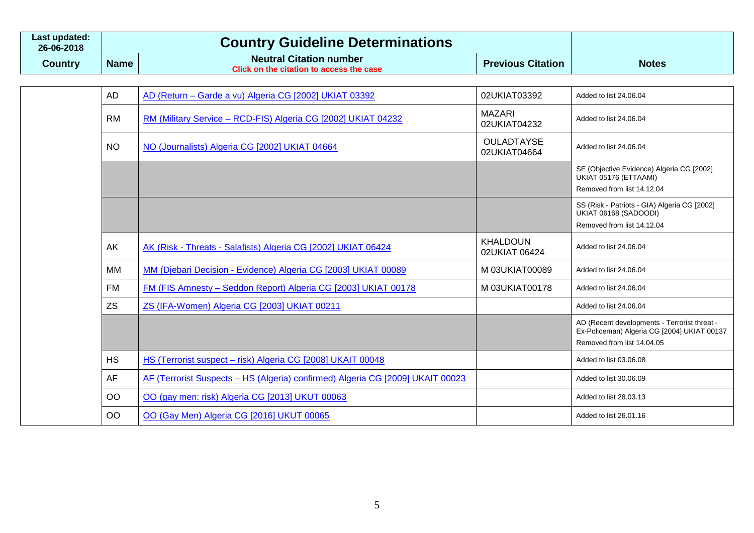| Last updated:<br>26-06-2018 |             | <b>Country Guideline Determinations</b>                                           |                          |              |
|-----------------------------|-------------|-----------------------------------------------------------------------------------|--------------------------|--------------|
| Country                     | <b>Name</b> | <b>Neutral Citation number</b><br><b>Click on the citation to access the case</b> | <b>Previous Citation</b> | <b>Notes</b> |

| <b>AD</b>     | AD (Return - Garde a vu) Algeria CG [2002] UKIAT 03392                         | 02UKIAT03392                      | Added to list 24.06.04                                                                      |
|---------------|--------------------------------------------------------------------------------|-----------------------------------|---------------------------------------------------------------------------------------------|
| <b>RM</b>     | RM (Military Service - RCD-FIS) Algeria CG [2002] UKIAT 04232                  | <b>MAZARI</b><br>02UKIAT04232     | Added to list 24.06.04                                                                      |
| <b>NO</b>     | NO (Journalists) Algeria CG [2002] UKIAT 04664                                 | <b>OULADTAYSE</b><br>02UKIAT04664 | Added to list 24.06.04                                                                      |
|               |                                                                                |                                   | SE (Objective Evidence) Algeria CG [2002]<br>UKIAT 05176 (ETTAAMI)                          |
|               |                                                                                |                                   | Removed from list 14.12.04                                                                  |
|               |                                                                                |                                   | SS (Risk - Patriots - GIA) Algeria CG [2002]<br>UKIAT 06168 (SADOODI)                       |
|               |                                                                                |                                   | Removed from list 14.12.04                                                                  |
| AK            | AK (Risk - Threats - Salafists) Algeria CG [2002] UKIAT 06424                  | <b>KHALDOUN</b><br>02UKIAT 06424  | Added to list 24.06.04                                                                      |
| МM            | MM (Djebari Decision - Evidence) Algeria CG [2003] UKIAT 00089                 | M 03UKIAT00089                    | Added to list 24.06.04                                                                      |
| <b>FM</b>     | FM (FIS Amnesty - Seddon Report) Algeria CG [2003] UKIAT 00178                 | M 03UKIAT00178                    | Added to list 24.06.04                                                                      |
| <b>ZS</b>     | ZS (IFA-Women) Algeria CG [2003] UKIAT 00211                                   |                                   | Added to list 24.06.04                                                                      |
|               |                                                                                |                                   | AD (Recent developments - Terrorist threat -<br>Ex-Policeman) Algeria CG [2004] UKIAT 00137 |
|               |                                                                                |                                   | Removed from list 14.04.05                                                                  |
| <b>HS</b>     | HS (Terrorist suspect - risk) Algeria CG [2008] UKAIT 00048                    |                                   | Added to list 03.06.08                                                                      |
| <b>AF</b>     | AF (Terrorist Suspects – HS (Algeria) confirmed) Algeria CG [2009] UKAIT 00023 |                                   | Added to list 30.06.09                                                                      |
| <b>OO</b>     | OO (gay men: risk) Algeria CG [2013] UKUT 00063                                |                                   | Added to list 28.03.13                                                                      |
| <sub>OO</sub> | OO (Gay Men) Algeria CG [2016] UKUT 00065                                      |                                   | Added to list 26.01.16                                                                      |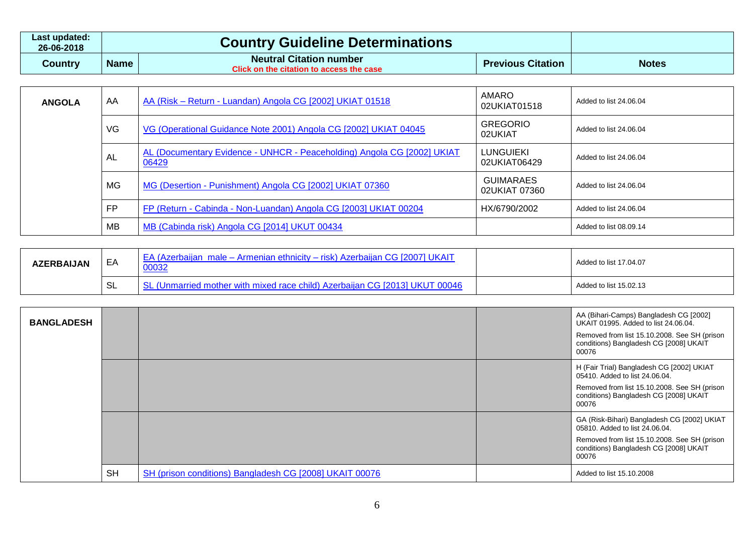| Last updated:<br>26-06-2018 |             | <b>Country Guideline Determinations</b>                                    |                          |              |
|-----------------------------|-------------|----------------------------------------------------------------------------|--------------------------|--------------|
| Country                     | <b>Name</b> | <b>Neutral Citation number</b><br>Click on the citation to access the case | <b>Previous Citation</b> | <b>Notes</b> |

| <b>ANGOLA</b> | AA        | AA (Risk – Return - Luandan) Angola CG [2002] UKIAT 01518                        | AMARO<br>02UKIAT01518             | Added to list 24,06,04 |
|---------------|-----------|----------------------------------------------------------------------------------|-----------------------------------|------------------------|
|               | VG        | VG (Operational Guidance Note 2001) Angola CG [2002] UKIAT 04045                 | <b>GREGORIO</b><br>02UKIAT        | Added to list 24.06.04 |
|               | AL        | AL (Documentary Evidence - UNHCR - Peaceholding) Angola CG [2002] UKIAT<br>06429 | <b>LUNGUIEKI</b><br>02UKIAT06429  | Added to list 24,06,04 |
|               | MG        | MG (Desertion - Punishment) Angola CG [2002] UKIAT 07360                         | <b>GUIMARAES</b><br>02UKIAT 07360 | Added to list 24,06,04 |
|               | <b>FP</b> | FP (Return - Cabinda - Non-Luandan) Angola CG [2003] UKIAT 00204                 | HX/6790/2002                      | Added to list 24,06,04 |
|               | MВ        | MB (Cabinda risk) Angola CG [2014] UKUT 00434                                    |                                   | Added to list 08.09.14 |

| <b>AZERBAIJAN</b> | EA              | <b>EA (Azerbaijan male - Armenian ethnicity - risk) Azerbaijan CG [2007] UKAIT</b><br>00032 | Added to list 17.04.07 |
|-------------------|-----------------|---------------------------------------------------------------------------------------------|------------------------|
|                   | <b>QI</b><br>◡∟ | (Unmarried mother with mixed race child) Azerbaijan CG [2013] UKUT 00046                    | Added to list 15.02.13 |

| <b>BANGLADESH</b> |           |                                                         | AA (Bihari-Camps) Bangladesh CG [2002]<br>UKAIT 01995. Added to list 24.06.04.<br>Removed from list 15.10.2008. See SH (prison<br>conditions) Bangladesh CG [2008] UKAIT<br>00076 |
|-------------------|-----------|---------------------------------------------------------|-----------------------------------------------------------------------------------------------------------------------------------------------------------------------------------|
|                   |           |                                                         | H (Fair Trial) Bangladesh CG [2002] UKIAT<br>05410. Added to list 24.06.04.<br>Removed from list 15.10.2008. See SH (prison<br>conditions) Bangladesh CG [2008] UKAIT<br>00076    |
|                   |           |                                                         | GA (Risk-Bihari) Bangladesh CG [2002] UKIAT<br>05810. Added to list 24.06.04.<br>Removed from list 15.10.2008. See SH (prison<br>conditions) Bangladesh CG [2008] UKAIT<br>00076  |
|                   | <b>SH</b> | SH (prison conditions) Bangladesh CG [2008] UKAIT 00076 | Added to list 15.10.2008                                                                                                                                                          |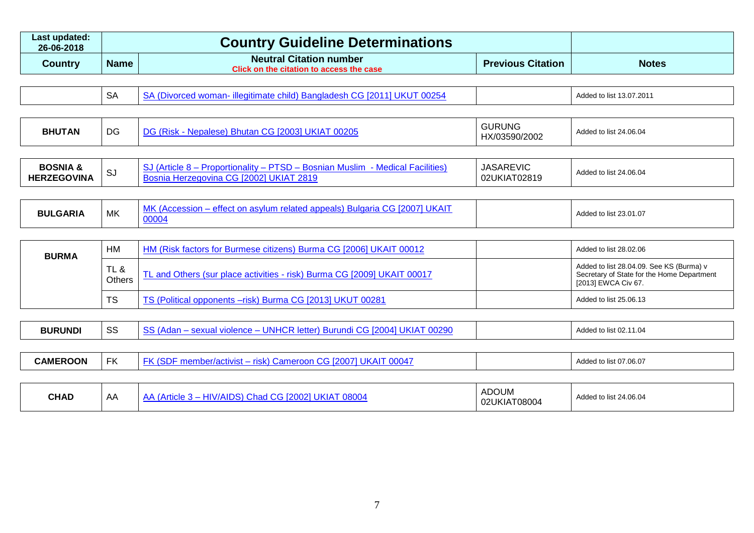| Last updated:<br>26-06-2018 |             | <b>Country Guideline Determinations</b>                                    |                          |              |
|-----------------------------|-------------|----------------------------------------------------------------------------|--------------------------|--------------|
| <b>Country</b>              | <b>Name</b> | <b>Neutral Citation number</b><br>Click on the citation to access the case | <b>Previous Citation</b> | <b>Notes</b> |

| SΔ<br>- illegitimate child) Bangladesh CG [2011] L<br>.d woman<br>0025 <sup>2</sup><br>ING.<br>יש | Added to list 13.07.2011 |
|---------------------------------------------------------------------------------------------------|--------------------------|
|---------------------------------------------------------------------------------------------------|--------------------------|

| $\Gamma$<br><b>BHUTAN</b><br>00205<br>DC<br>980<br>טע<br>n'i<br><b>11</b> | <b>GURUNG</b><br>uu.<br>HX/03590/2002 | d to list 24.06.04<br>Added |
|---------------------------------------------------------------------------|---------------------------------------|-----------------------------|
|---------------------------------------------------------------------------|---------------------------------------|-----------------------------|

| <b>BOSNIA</b><br><b>TEGOVINA</b><br><b>HER</b> | ാ∪ | litles<br>ור | <b>JASAREVIC</b><br>02819<br>.02I<br>. IA L | $t$ 24.06.04<br>. to lis'<br>Added |
|------------------------------------------------|----|--------------|---------------------------------------------|------------------------------------|
|------------------------------------------------|----|--------------|---------------------------------------------|------------------------------------|

| <b>BULGARIA</b> | MK | <b>126.</b><br>` IK Д.<br>$\alpha$ and $\alpha$ and $\alpha$ in $\alpha$ is $\alpha$ .<br>/lum<br>nneals).<br>⊦reiatec<br>ettec<br>ur Buldario<br>10004 |  | 1 to list 23.01.07<br>Added |
|-----------------|----|---------------------------------------------------------------------------------------------------------------------------------------------------------|--|-----------------------------|
|-----------------|----|---------------------------------------------------------------------------------------------------------------------------------------------------------|--|-----------------------------|

| <b>BURMA</b> | HM             | HM (Risk factors for Burmese citizens) Burma CG [2006] UKAIT 00012      | Added to list 28.02.06                                                                                        |
|--------------|----------------|-------------------------------------------------------------------------|---------------------------------------------------------------------------------------------------------------|
|              | TL &<br>Others | TL and Others (sur place activities - risk) Burma CG [2009] UKAIT 00017 | Added to list 28.04.09. See KS (Burma) v<br>Secretary of State for the Home Department<br>[2013] EWCA Civ 67. |
|              | TS             | TS (Political opponents -risk) Burma CG [2013] UKUT 00281               | Added to list 25.06.13                                                                                        |

| <b>BURUNDI</b>  | SS        | SS (Adan – sexual violence – UNHCR letter) Burundi CG [2004] UKIAT 00290 |                       | Added to list 02.11.04 |
|-----------------|-----------|--------------------------------------------------------------------------|-----------------------|------------------------|
| <b>CAMEROON</b> | <b>FK</b> | <b>FK (SDF member/activist - risk) Cameroon CG [2007] UKAIT 00047</b>    |                       | Added to list 07.06.07 |
|                 |           |                                                                          |                       |                        |
| <b>CHAD</b>     | AA        | AA (Article 3 - HIV/AIDS) Chad CG [2002] UKIAT 08004                     | ADOUM<br>02UKIAT08004 | Added to list 24,06,04 |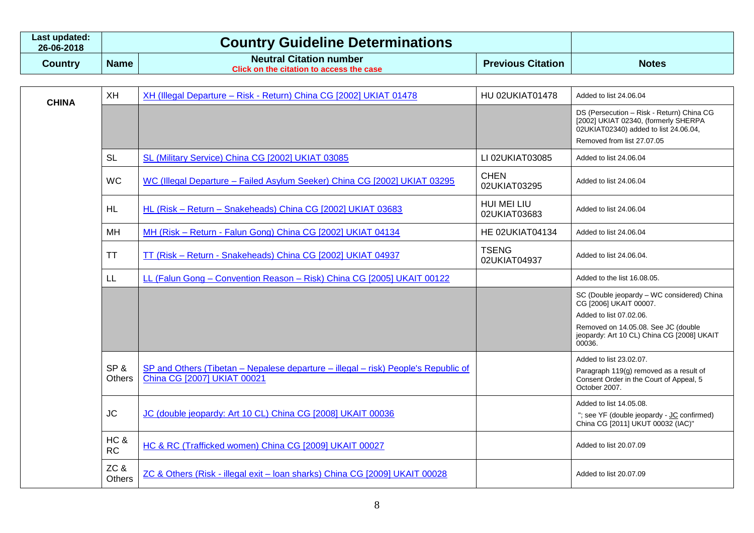| Last updated:<br>26-06-2018 |             | <b>Country Guideline Determinations</b>                             |                          |              |
|-----------------------------|-------------|---------------------------------------------------------------------|--------------------------|--------------|
| Country                     | <b>Name</b> | Neutral Citation number<br>Click on the citation to access the case | <b>Previous Citation</b> | <b>Notes</b> |

| <b>CHINA</b> | <b>XH</b>            | XH (Illegal Departure - Risk - Return) China CG [2002] UKIAT 01478                                                | <b>HU 02UKIAT01478</b>       | Added to list 24.06.04                                                                                                                                                                         |
|--------------|----------------------|-------------------------------------------------------------------------------------------------------------------|------------------------------|------------------------------------------------------------------------------------------------------------------------------------------------------------------------------------------------|
|              |                      |                                                                                                                   |                              | DS (Persecution - Risk - Return) China CG<br>[2002] UKIAT 02340, (formerly SHERPA<br>02UKIAT02340) added to list 24.06.04,<br>Removed from list 27,07,05                                       |
|              | <b>SL</b>            | SL (Military Service) China CG [2002] UKIAT 03085                                                                 | LI 02UKIAT03085              | Added to list 24.06.04                                                                                                                                                                         |
|              | <b>WC</b>            | WC (Illegal Departure - Failed Asylum Seeker) China CG [2002] UKIAT 03295                                         | <b>CHEN</b><br>02UKIAT03295  | Added to list 24.06.04                                                                                                                                                                         |
|              | <b>HL</b>            | HL (Risk - Return - Snakeheads) China CG [2002] UKIAT 03683                                                       | HUI MEI LIU<br>02UKIAT03683  | Added to list 24.06.04                                                                                                                                                                         |
|              | MH                   | MH (Risk - Return - Falun Gong) China CG [2002] UKIAT 04134                                                       | HE 02UKIAT04134              | Added to list 24.06.04                                                                                                                                                                         |
|              | TT                   | TT (Risk - Return - Snakeheads) China CG [2002] UKIAT 04937                                                       | <b>TSENG</b><br>02UKIAT04937 | Added to list 24.06.04.                                                                                                                                                                        |
|              | LL.                  | LL (Falun Gong - Convention Reason - Risk) China CG [2005] UKAIT 00122                                            |                              | Added to the list 16,08,05.                                                                                                                                                                    |
|              |                      |                                                                                                                   |                              | SC (Double jeopardy - WC considered) China<br>CG [2006] UKAIT 00007.<br>Added to list 07.02.06.<br>Removed on 14.05.08. See JC (double<br>jeopardy: Art 10 CL) China CG [2008] UKAIT<br>00036. |
|              | SP&<br><b>Others</b> | SP and Others (Tibetan – Nepalese departure – illegal – risk) People's Republic of<br>China CG [2007] UKIAT 00021 |                              | Added to list 23.02.07.<br>Paragraph 119(g) removed as a result of<br>Consent Order in the Court of Appeal, 5<br>October 2007.                                                                 |
|              | <b>JC</b>            | JC (double jeopardy: Art 10 CL) China CG [2008] UKAIT 00036                                                       |                              | Added to list 14.05.08.<br>"; see YF (double jeopardy - JC confirmed)<br>China CG [2011] UKUT 00032 (IAC)"                                                                                     |
|              | HC &<br><b>RC</b>    | HC & RC (Trafficked women) China CG [2009] UKAIT 00027                                                            |                              | Added to list 20.07.09                                                                                                                                                                         |
|              | ZC&<br><b>Others</b> | ZC & Others (Risk - illegal exit - loan sharks) China CG [2009] UKAIT 00028                                       |                              | Added to list 20.07.09                                                                                                                                                                         |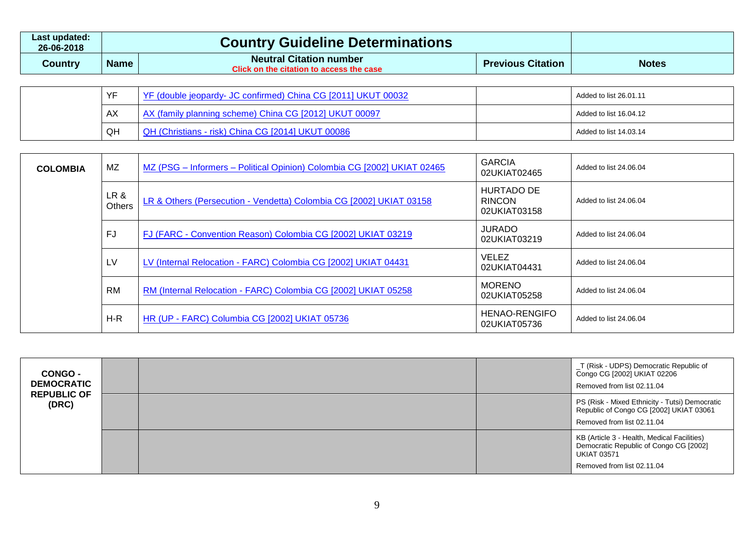| Last updated: I<br>26-06-2018 |             | <b>Country Guideline Determinations</b>                                           |                          |              |
|-------------------------------|-------------|-----------------------------------------------------------------------------------|--------------------------|--------------|
| Country                       | <b>Name</b> | <b>Neutral Citation number</b><br><b>Click on the citation to access the case</b> | <b>Previous Citation</b> | <b>Notes</b> |

|  | VE | YF (double jeopardy- JC confirmed) China CG [2011] UKUT 00032 | Added to list 26.01.11 |
|--|----|---------------------------------------------------------------|------------------------|
|  | AX | AX (family planning scheme) China CG [2012] UKUT 00097        | Added to list 16.04.12 |
|  | QH | QH (Christians - risk) China CG [2014] UKUT 00086             | Added to list 14.03.14 |

| <b>COLOMBIA</b> | <b>MZ</b>      | MZ (PSG - Informers - Political Opinion) Colombia CG [2002] UKIAT 02465 | <b>GARCIA</b><br>02UKIAT02465               | Added to list 24.06.04 |
|-----------------|----------------|-------------------------------------------------------------------------|---------------------------------------------|------------------------|
|                 | LR &<br>Others | LR & Others (Persecution - Vendetta) Colombia CG [2002] UKIAT 03158     | HURTADO DE<br><b>RINCON</b><br>02UKIAT03158 | Added to list 24.06.04 |
|                 | FJ             | FJ (FARC - Convention Reason) Colombia CG [2002] UKIAT 03219            | <b>JURADO</b><br>02UKIAT03219               | Added to list 24.06.04 |
|                 | LV             | LV (Internal Relocation - FARC) Colombia CG [2002] UKIAT 04431          | <b>VELEZ</b><br>02UKIAT04431                | Added to list 24.06.04 |
|                 | RM             | RM (Internal Relocation - FARC) Colombia CG [2002] UKIAT 05258          | <b>MORENO</b><br>02UKIAT05258               | Added to list 24,06,04 |
|                 | $H-R$          | HR (UP - FARC) Columbia CG [2002] UKIAT 05736                           | <b>HENAO-RENGIFO</b><br>02UKIAT05736        | Added to list 24.06.04 |

| <b>CONGO -</b><br><b>DEMOCRATIC</b> |  | T (Risk - UDPS) Democratic Republic of<br>Congo CG [2002] UKIAT 02206<br>Removed from list 02.11.04                                       |
|-------------------------------------|--|-------------------------------------------------------------------------------------------------------------------------------------------|
| <b>REPUBLIC OF</b><br>(DRC)         |  | PS (Risk - Mixed Ethnicity - Tutsi) Democratic<br>Republic of Congo CG [2002] UKIAT 03061<br>Removed from list 02.11.04                   |
|                                     |  | KB (Article 3 - Health, Medical Facilities)<br>Democratic Republic of Congo CG [2002]<br><b>UKIAT 03571</b><br>Removed from list 02.11.04 |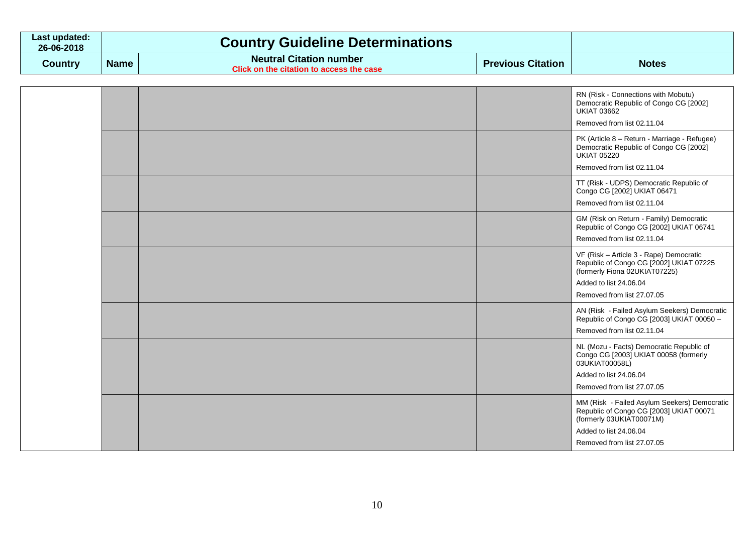| Last updated:<br>26-06-2018 |             | <b>Country Guideline Determinations</b>                                    |                          |              |
|-----------------------------|-------------|----------------------------------------------------------------------------|--------------------------|--------------|
| Country                     | <b>Name</b> | <b>Neutral Citation number</b><br>Click on the citation to access the case | <b>Previous Citation</b> | <b>Notes</b> |

|  |  | RN (Risk - Connections with Mobutu)<br>Democratic Republic of Congo CG [2002]<br><b>UKIAT 03662</b>                                                                         |
|--|--|-----------------------------------------------------------------------------------------------------------------------------------------------------------------------------|
|  |  | Removed from list 02.11.04                                                                                                                                                  |
|  |  | PK (Article 8 - Return - Marriage - Refugee)<br>Democratic Republic of Congo CG [2002]<br><b>UKIAT 05220</b><br>Removed from list 02.11.04                                  |
|  |  | TT (Risk - UDPS) Democratic Republic of<br>Congo CG [2002] UKIAT 06471<br>Removed from list 02.11.04                                                                        |
|  |  | GM (Risk on Return - Family) Democratic<br>Republic of Congo CG [2002] UKIAT 06741<br>Removed from list 02.11.04                                                            |
|  |  | VF (Risk - Article 3 - Rape) Democratic<br>Republic of Congo CG [2002] UKIAT 07225<br>(formerly Fiona 02UKIAT07225)<br>Added to list 24.06.04<br>Removed from list 27.07.05 |
|  |  | AN (Risk - Failed Asylum Seekers) Democratic<br>Republic of Congo CG [2003] UKIAT 00050 -<br>Removed from list 02.11.04                                                     |
|  |  | NL (Mozu - Facts) Democratic Republic of<br>Congo CG [2003] UKIAT 00058 (formerly<br>03UKIAT00058L)<br>Added to list 24.06.04<br>Removed from list 27.07.05                 |
|  |  | MM (Risk - Failed Asylum Seekers) Democratic<br>Republic of Congo CG [2003] UKIAT 00071<br>(formerly 03UKIAT00071M)<br>Added to list 24.06.04<br>Removed from list 27.07.05 |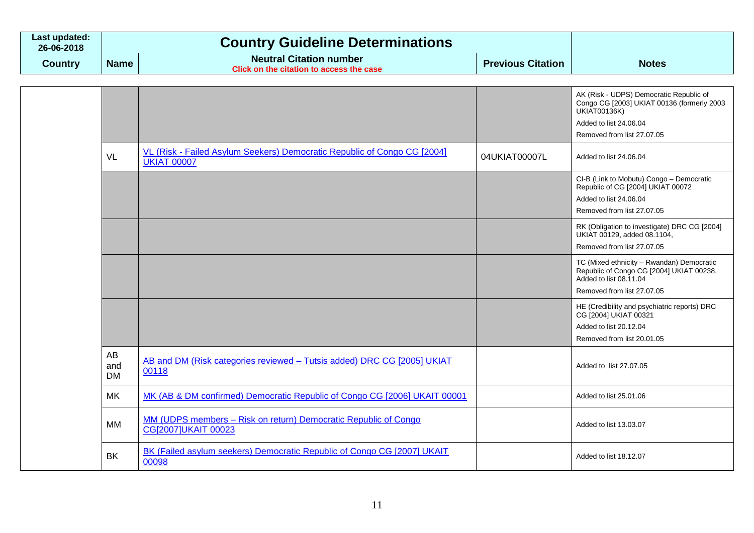| ∟ast updated:<br>26-06-2018 |             | <b>Country Guideline Determinations</b>                                    |                          |              |
|-----------------------------|-------------|----------------------------------------------------------------------------|--------------------------|--------------|
| Country                     | <b>Name</b> | <b>Neutral Citation number</b><br>Click on the citation to access the case | <b>Previous Citation</b> | <b>Notes</b> |

|                               |                                                                                                |               | AK (Risk - UDPS) Democratic Republic of<br>Congo CG [2003] UKIAT 00136 (formerly 2003<br><b>UKIAT00136K)</b><br>Added to list 24.06.04<br>Removed from list 27,07,05 |
|-------------------------------|------------------------------------------------------------------------------------------------|---------------|----------------------------------------------------------------------------------------------------------------------------------------------------------------------|
| VL                            | VL (Risk - Failed Asylum Seekers) Democratic Republic of Congo CG [2004]<br><b>UKIAT 00007</b> | 04UKIAT00007L | Added to list 24.06.04                                                                                                                                               |
|                               |                                                                                                |               | CI-B (Link to Mobutu) Congo - Democratic<br>Republic of CG [2004] UKIAT 00072<br>Added to list 24.06.04<br>Removed from list 27,07,05                                |
|                               |                                                                                                |               | RK (Obligation to investigate) DRC CG [2004]<br>UKIAT 00129, added 08.1104,<br>Removed from list 27,07,05                                                            |
|                               |                                                                                                |               | TC (Mixed ethnicity - Rwandan) Democratic<br>Republic of Congo CG [2004] UKIAT 00238,<br>Added to list 08.11.04<br>Removed from list 27.07.05                        |
|                               |                                                                                                |               | HE (Credibility and psychiatric reports) DRC<br>CG [2004] UKIAT 00321<br>Added to list 20.12.04<br>Removed from list 20.01.05                                        |
| <b>AB</b><br>and<br><b>DM</b> | AB and DM (Risk categories reviewed - Tutsis added) DRC CG [2005] UKIAT<br>00118               |               | Added to list 27.07.05                                                                                                                                               |
| MK                            | MK (AB & DM confirmed) Democratic Republic of Congo CG [2006] UKAIT 00001                      |               | Added to list 25.01.06                                                                                                                                               |
| MM                            | MM (UDPS members - Risk on return) Democratic Republic of Congo<br>CG[2007]UKAIT 00023         |               | Added to list 13.03.07                                                                                                                                               |
| <b>BK</b>                     | BK (Failed asylum seekers) Democratic Republic of Congo CG [2007] UKAIT<br>00098               |               | Added to list 18.12.07                                                                                                                                               |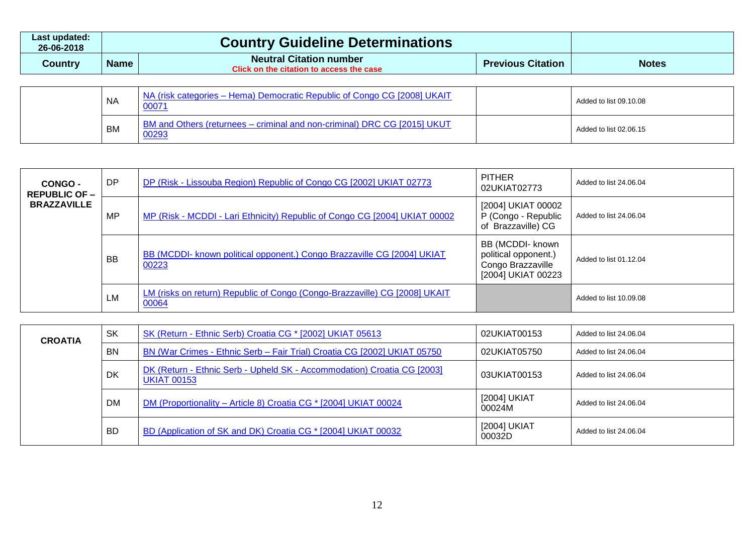| Last updated:<br>26-06-2018 |             | <b>Country Guideline Determinations</b>                                    |                          |              |
|-----------------------------|-------------|----------------------------------------------------------------------------|--------------------------|--------------|
| Countrv                     | <b>Name</b> | <b>Neutral Citation number</b><br>Click on the citation to access the case | <b>Previous Citation</b> | <b>Notes</b> |

| <b>NA</b> | NA (risk categories – Hema) Democratic Republic of Congo CG [2008] UKAIT<br>00071 | Added to list 09.10.08 |
|-----------|-----------------------------------------------------------------------------------|------------------------|
| BM        | BM and Others (returnees - criminal and non-criminal) DRC CG [2015] UKUT<br>00293 | Added to list 02.06.15 |

| CONGO -<br><b>REPUBLIC OF -</b> | <b>DP</b> | DP (Risk - Lissouba Region) Republic of Congo CG [2002] UKIAT 02773                 | <b>PITHER</b><br>02UKIAT02773                                                       | Added to list 24.06.04 |
|---------------------------------|-----------|-------------------------------------------------------------------------------------|-------------------------------------------------------------------------------------|------------------------|
| <b>BRAZZAVILLE</b>              | MP        | MP (Risk - MCDDI - Lari Ethnicity) Republic of Congo CG [2004] UKIAT 00002          | [2004] UKIAT 00002<br>P (Congo - Republic<br>of Brazzaville) CG                     | Added to list 24.06.04 |
|                                 | <b>BB</b> | BB (MCDDI- known political opponent.) Congo Brazzaville CG [2004] UKIAT<br>00223    | BB (MCDDI- known<br>political opponent.)<br>Congo Brazzaville<br>[2004] UKIAT 00223 | Added to list 01.12.04 |
|                                 | LM        | LM (risks on return) Republic of Congo (Congo-Brazzaville) CG [2008] UKAIT<br>00064 |                                                                                     | Added to list 10.09.08 |

| <b>CROATIA</b> | <b>SK</b> | SK (Return - Ethnic Serb) Croatia CG * [2002] UKIAT 05613                                     | 02UKIAT00153           | Added to list 24,06,04 |
|----------------|-----------|-----------------------------------------------------------------------------------------------|------------------------|------------------------|
|                | <b>BN</b> | BN (War Crimes - Ethnic Serb - Fair Trial) Croatia CG [2002] UKIAT 05750                      | 02UKIAT05750           | Added to list 24,06,04 |
|                | <b>DK</b> | DK (Return - Ethnic Serb - Upheld SK - Accommodation) Croatia CG [2003]<br><b>UKIAT 00153</b> | 03UKIAT00153           | Added to list 24.06.04 |
|                | <b>DM</b> | DM (Proportionality – Article 8) Croatia CG * [2004] UKIAT 00024                              | [2004] UKIAT<br>00024M | Added to list 24,06,04 |
|                | <b>BD</b> | BD (Application of SK and DK) Croatia CG * [2004] UKIAT 00032                                 | [2004] UKIAT<br>00032D | Added to list 24,06,04 |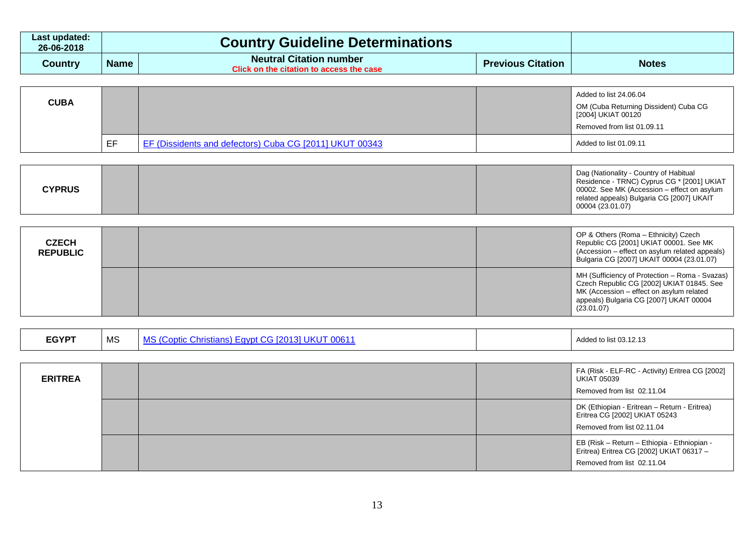| Last updated:<br>26-06-2018 | <b>Country Guideline Determinations</b> |                                                                            |                          |              |
|-----------------------------|-----------------------------------------|----------------------------------------------------------------------------|--------------------------|--------------|
| Country                     | <b>Name</b>                             | <b>Neutral Citation number</b><br>Click on the citation to access the case | <b>Previous Citation</b> | <b>Notes</b> |

| <b>CUBA</b> |    |                                                         | Added to list 24.06.04<br>OM (Cuba Returning Dissident) Cuba CG<br>  [2004] UKIAT 00120<br>Removed from list 01.09.11 |
|-------------|----|---------------------------------------------------------|-----------------------------------------------------------------------------------------------------------------------|
|             | EF | EF (Dissidents and defectors) Cuba CG [2011] UKUT 00343 | Added to list 01.09.11                                                                                                |

| <b>CYPRUS</b> |
|---------------|
|---------------|

| <b>CZECH</b><br><b>REPUBLIC</b> | OP & Others (Roma - Ethnicity) Czech<br>Republic CG [2001] UKIAT 00001. See MK<br>(Accession – effect on asylum related appeals)<br>Bulgaria CG [2007] UKAIT 00004 (23.01.07)                    |  |
|---------------------------------|--------------------------------------------------------------------------------------------------------------------------------------------------------------------------------------------------|--|
|                                 | MH (Sufficiency of Protection - Roma - Svazas)<br>Czech Republic CG [2002] UKIAT 01845. See<br>MK (Accession – effect on asylum related<br>appeals) Bulgaria CG [2007] UKAIT 00004<br>(23.01.07) |  |

| <b>ERITREA</b> |  | FA (Risk - ELF-RC - Activity) Eritrea CG [2002]<br><b>UKIAT 05039</b><br>Removed from list 02.11.04                   |
|----------------|--|-----------------------------------------------------------------------------------------------------------------------|
|                |  | DK (Ethiopian - Eritrean - Return - Eritrea)<br>Eritrea CG [2002] UKIAT 05243<br>Removed from list 02.11.04           |
|                |  | EB (Risk - Return - Ethiopia - Ethniopian -<br>Eritrea) Eritrea CG [2002] UKIAT 06317 -<br>Removed from list 02.11.04 |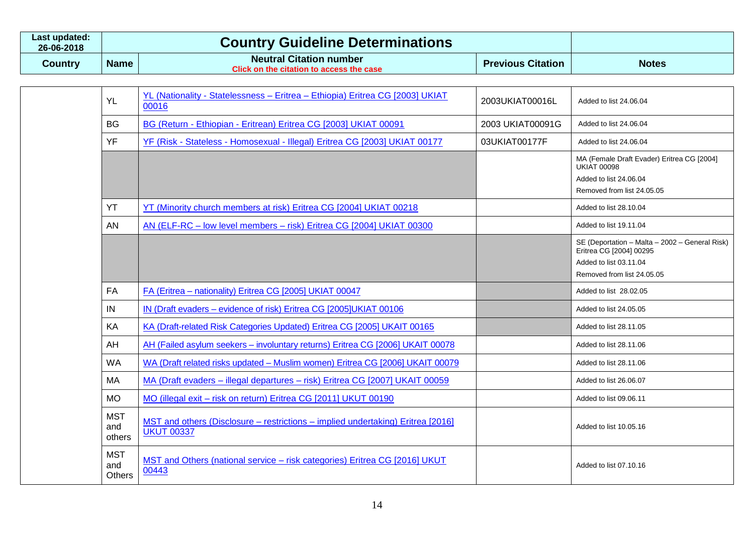| Last updated:<br>26-06-2018 | <b>Country Guideline Determinations</b> |                                                                            |                          |              |
|-----------------------------|-----------------------------------------|----------------------------------------------------------------------------|--------------------------|--------------|
| Country                     | <b>Name</b>                             | <b>Neutral Citation number</b><br>Click on the citation to access the case | <b>Previous Citation</b> | <b>Notes</b> |

| <b>YL</b>                          | YL (Nationality - Statelessness - Eritrea - Ethiopia) Eritrea CG [2003] UKIAT<br>00016               | 2003UKIAT00016L  | Added to list 24.06.04                                                                                                            |
|------------------------------------|------------------------------------------------------------------------------------------------------|------------------|-----------------------------------------------------------------------------------------------------------------------------------|
| <b>BG</b>                          | BG (Return - Ethiopian - Eritrean) Eritrea CG [2003] UKIAT 00091                                     | 2003 UKIAT00091G | Added to list 24.06.04                                                                                                            |
| YF                                 | YF (Risk - Stateless - Homosexual - Illegal) Eritrea CG [2003] UKIAT 00177                           | 03UKIAT00177F    | Added to list 24,06.04                                                                                                            |
|                                    |                                                                                                      |                  | MA (Female Draft Evader) Eritrea CG [2004]<br><b>UKIAT 00098</b><br>Added to list 24.06.04                                        |
|                                    |                                                                                                      |                  | Removed from list 24.05.05                                                                                                        |
| YT                                 | YT (Minority church members at risk) Eritrea CG [2004] UKIAT 00218                                   |                  | Added to list 28,10.04                                                                                                            |
| AN                                 | AN (ELF-RC – low level members – risk) Eritrea CG [2004] UKIAT 00300                                 |                  | Added to list 19.11.04                                                                                                            |
|                                    |                                                                                                      |                  | SE (Deportation - Malta - 2002 - General Risk)<br>Eritrea CG [2004] 00295<br>Added to list 03.11.04<br>Removed from list 24.05.05 |
| FA                                 | FA (Eritrea - nationality) Eritrea CG [2005] UKIAT 00047                                             |                  | Added to list 28.02.05                                                                                                            |
| IN                                 | IN (Draft evaders - evidence of risk) Eritrea CG [2005]UKIAT 00106                                   |                  | Added to list 24,05,05                                                                                                            |
| KA                                 | KA (Draft-related Risk Categories Updated) Eritrea CG [2005] UKAIT 00165                             |                  | Added to list 28.11.05                                                                                                            |
| AH                                 | AH (Failed asylum seekers - involuntary returns) Eritrea CG [2006] UKAIT 00078                       |                  | Added to list 28.11.06                                                                                                            |
| <b>WA</b>                          | WA (Draft related risks updated - Muslim women) Eritrea CG [2006] UKAIT 00079                        |                  | Added to list 28.11.06                                                                                                            |
| MA                                 | MA (Draft evaders - illegal departures - risk) Eritrea CG [2007] UKAIT 00059                         |                  | Added to list 26.06.07                                                                                                            |
| <b>MO</b>                          | MO (illegal exit - risk on return) Eritrea CG [2011] UKUT 00190                                      |                  | Added to list 09.06.11                                                                                                            |
| <b>MST</b><br>and<br>others        | MST and others (Disclosure – restrictions – implied undertaking) Eritrea [2016]<br><b>UKUT 00337</b> |                  | Added to list 10.05.16                                                                                                            |
| <b>MST</b><br>and<br><b>Others</b> | MST and Others (national service - risk categories) Eritrea CG [2016] UKUT<br>00443                  |                  | Added to list 07.10.16                                                                                                            |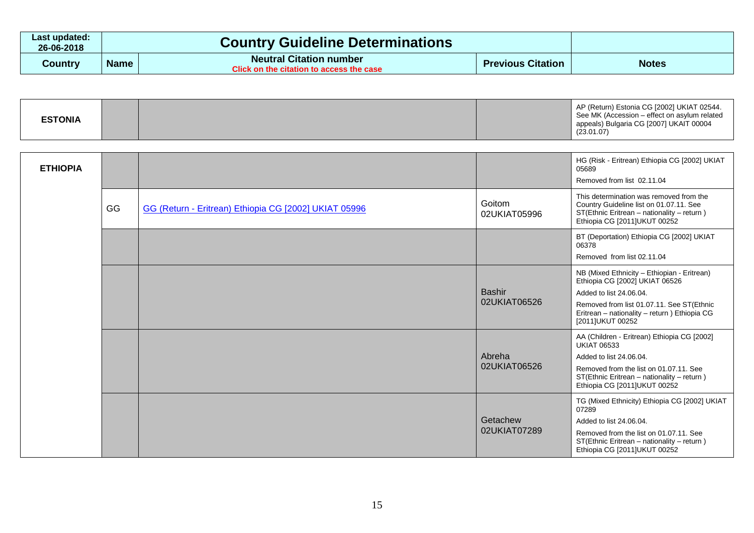| Last updated:<br>26-06-2018 | <b>Country Guideline Determinations</b> |                                                                            |                          |              |
|-----------------------------|-----------------------------------------|----------------------------------------------------------------------------|--------------------------|--------------|
| <b>Country</b>              | <b>Name</b>                             | <b>Neutral Citation number</b><br>Click on the citation to access the case | <b>Previous Citation</b> | <b>Notes</b> |

| <b>ESTONIA</b> | AP (Return) Estonia CG [2002] UKIAT 02544.<br>See MK (Accession – effect on asylum related<br>appeals) Bulgaria CG [2007] UKAIT 00004<br>(23.01.07) |
|----------------|-----------------------------------------------------------------------------------------------------------------------------------------------------|
|----------------|-----------------------------------------------------------------------------------------------------------------------------------------------------|

| <b>ETHIOPIA</b> |    |                                                       |                               | HG (Risk - Eritrean) Ethiopia CG [2002] UKIAT<br>05689<br>Removed from list 02.11.04                                                                                                                                       |
|-----------------|----|-------------------------------------------------------|-------------------------------|----------------------------------------------------------------------------------------------------------------------------------------------------------------------------------------------------------------------------|
|                 | GG | GG (Return - Eritrean) Ethiopia CG [2002] UKIAT 05996 | Goitom<br>02UKIAT05996        | This determination was removed from the<br>Country Guideline list on 01.07.11. See<br>ST(Ethnic Eritrean - nationality - return)<br>Ethiopia CG [2011]UKUT 00252                                                           |
|                 |    |                                                       |                               | BT (Deportation) Ethiopia CG [2002] UKIAT<br>06378<br>Removed from list 02.11.04                                                                                                                                           |
|                 |    |                                                       | <b>Bashir</b><br>02UKIAT06526 | NB (Mixed Ethnicity - Ethiopian - Eritrean)<br>Ethiopia CG [2002] UKIAT 06526<br>Added to list 24.06.04.<br>Removed from list 01.07.11. See ST(Ethnic<br>Eritrean - nationality - return ) Ethiopia CG<br>[2011]UKUT 00252 |
|                 |    |                                                       | Abreha<br>02UKIAT06526        | AA (Children - Eritrean) Ethiopia CG [2002]<br><b>UKIAT 06533</b><br>Added to list 24,06,04.<br>Removed from the list on 01.07.11. See<br>ST(Ethnic Eritrean - nationality - return)<br>Ethiopia CG [2011]UKUT 00252       |
|                 |    |                                                       | Getachew<br>02UKIAT07289      | TG (Mixed Ethnicity) Ethiopia CG [2002] UKIAT<br>07289<br>Added to list 24.06.04.<br>Removed from the list on 01.07.11. See<br>ST(Ethnic Eritrean - nationality - return)<br>Ethiopia CG [2011]UKUT 00252                  |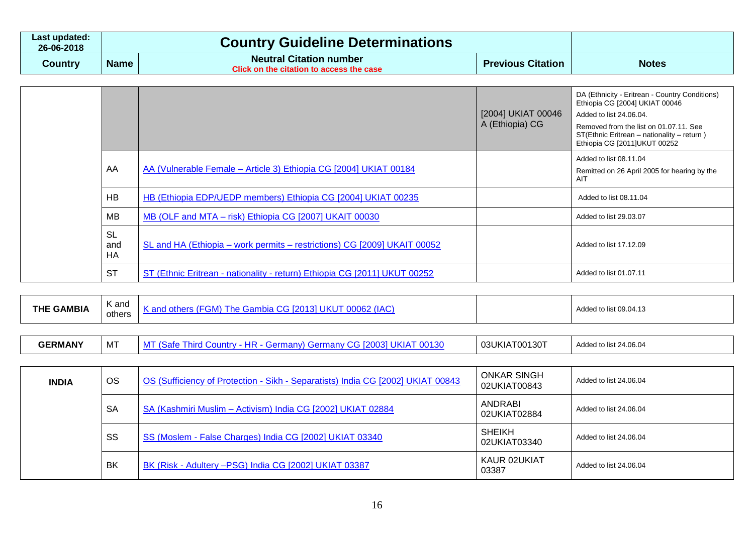| Last updated:<br>26-06-2018 | <b>Country Guideline Determinations</b> |                                                                            |                          |              |
|-----------------------------|-----------------------------------------|----------------------------------------------------------------------------|--------------------------|--------------|
| Country                     | <b>Name</b>                             | <b>Neutral Citation number</b><br>Click on the citation to access the case | <b>Previous Citation</b> | <b>Notes</b> |

|  |                        |                                                                           | [2004] UKIAT 00046<br>A (Ethiopia) CG | DA (Ethnicity - Eritrean - Country Conditions)<br>Ethiopia CG [2004] UKIAT 00046<br>Added to list 24.06.04.<br>Removed from the list on 01.07.11. See<br>ST(Ethnic Eritrean - nationality - return)<br>Ethiopia CG [2011]UKUT 00252 |
|--|------------------------|---------------------------------------------------------------------------|---------------------------------------|-------------------------------------------------------------------------------------------------------------------------------------------------------------------------------------------------------------------------------------|
|  | AA                     | AA (Vulnerable Female - Article 3) Ethiopia CG [2004] UKIAT 00184         |                                       | Added to list 08.11.04<br>Remitted on 26 April 2005 for hearing by the<br>AIT                                                                                                                                                       |
|  | HB                     | HB (Ethiopia EDP/UEDP members) Ethiopia CG [2004] UKIAT 00235             |                                       | Added to list 08.11.04                                                                                                                                                                                                              |
|  | <b>MB</b>              | MB (OLF and MTA - risk) Ethiopia CG [2007] UKAIT 00030                    |                                       | Added to list 29.03.07                                                                                                                                                                                                              |
|  | SL<br>and<br><b>HA</b> | SL and HA (Ethiopia – work permits – restrictions) CG [2009] UKAIT 00052  |                                       | Added to list 17.12.09                                                                                                                                                                                                              |
|  | <b>ST</b>              | ST (Ethnic Eritrean - nationality - return) Ethiopia CG [2011] UKUT 00252 |                                       | Added to list 01.07.11                                                                                                                                                                                                              |

| <b>THE GAMBIA</b> | $\sqrt{ }$<br>K and<br>others | `JKU<br>$\mathbf{A}$<br>l he Gam<br>other<br><u>_</u><br>πv<br>- 641 |  | Added to list 09.04.13 |
|-------------------|-------------------------------|----------------------------------------------------------------------|--|------------------------|
|-------------------|-------------------------------|----------------------------------------------------------------------|--|------------------------|

| <b>GERMANY</b> | $^+$ M . | ШD<br>.,<br>n.<br>ЛF | T00130<br>03UKIA | st 24.06.04<br>Adde |
|----------------|----------|----------------------|------------------|---------------------|
|----------------|----------|----------------------|------------------|---------------------|

| <b>INDIA</b> | <b>OS</b> | OS (Sufficiency of Protection - Sikh - Separatists) India CG [2002] UKIAT 00843 | <b>ONKAR SINGH</b><br>02UKIAT00843 | Added to list 24.06.04 |
|--------------|-----------|---------------------------------------------------------------------------------|------------------------------------|------------------------|
|              | <b>SA</b> | SA (Kashmiri Muslim - Activism) India CG [2002] UKIAT 02884                     | ANDRABI<br>02UKIAT02884            | Added to list 24.06.04 |
|              | SS        | SS (Moslem - False Charges) India CG [2002] UKIAT 03340                         | <b>SHEIKH</b><br>02UKIAT03340      | Added to list 24,06,04 |
|              | BK        | BK (Risk - Adultery - PSG) India CG [2002] UKIAT 03387                          | KAUR 02UKIAT<br>03387              | Added to list 24,06,04 |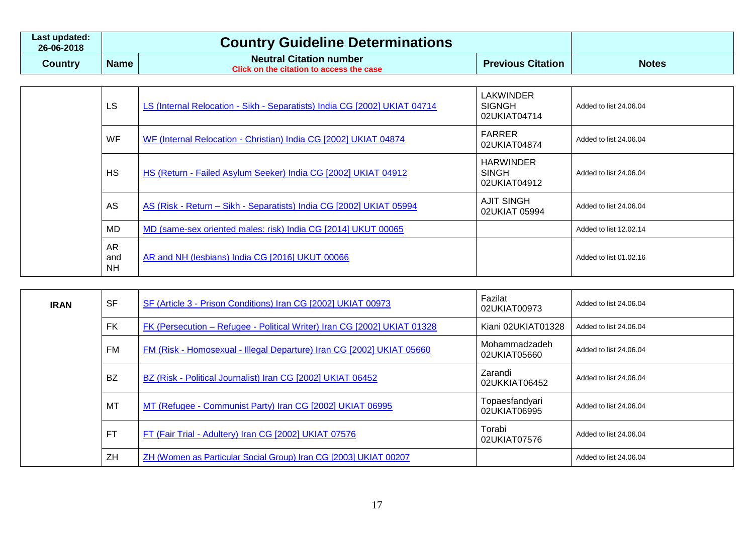| Last updated:<br>26-06-2018 |             | <b>Country Guideline Determinations</b>                                                        |                          |              |
|-----------------------------|-------------|------------------------------------------------------------------------------------------------|--------------------------|--------------|
| Country                     | <b>Name</b> | <b>Neutral Citation number</b><br>$\degree$ Click on the citation to access the case $\degree$ | <b>Previous Citation</b> | <b>Notes</b> |

| LS                     | LS (Internal Relocation - Sikh - Separatists) India CG [2002] UKIAT 04714 | <b>LAKWINDER</b><br><b>SIGNGH</b><br>02UKIAT04714 | Added to list 24.06.04 |
|------------------------|---------------------------------------------------------------------------|---------------------------------------------------|------------------------|
| <b>WF</b>              | WF (Internal Relocation - Christian) India CG [2002] UKIAT 04874          | FARRER<br>02UKIAT04874                            | Added to list 24.06.04 |
| <b>HS</b>              | HS (Return - Failed Asylum Seeker) India CG [2002] UKIAT 04912            | <b>HARWINDER</b><br><b>SINGH</b><br>02UKIAT04912  | Added to list 24.06.04 |
| AS                     | AS (Risk - Return - Sikh - Separatists) India CG [2002] UKIAT 05994       | <b>AJIT SINGH</b><br>02UKIAT 05994                | Added to list 24.06.04 |
| MD                     | MD (same-sex oriented males: risk) India CG [2014] UKUT 00065             |                                                   | Added to list 12.02.14 |
| AR<br>and<br><b>NH</b> | AR and NH (lesbians) India CG [2016] UKUT 00066                           |                                                   | Added to list 01.02.16 |

| <b>IRAN</b> | <b>SF</b> | SF (Article 3 - Prison Conditions) Iran CG [2002] UKIAT 00973            | Fazilat<br>02UKIAT00973        | Added to list 24,06,04 |
|-------------|-----------|--------------------------------------------------------------------------|--------------------------------|------------------------|
|             | <b>FK</b> | FK (Persecution - Refugee - Political Writer) Iran CG [2002] UKIAT 01328 | Kiani 02UKIAT01328             | Added to list 24.06.04 |
|             | FM        | FM (Risk - Homosexual - Illegal Departure) Iran CG [2002] UKIAT 05660    | Mohammadzadeh<br>02UKIAT05660  | Added to list 24.06.04 |
|             | <b>BZ</b> | BZ (Risk - Political Journalist) Iran CG [2002] UKIAT 06452              | Zarandi<br>02UKKIAT06452       | Added to list 24.06.04 |
|             | MT        | MT (Refugee - Communist Party) Iran CG [2002] UKIAT 06995                | Topaesfandyari<br>02UKIAT06995 | Added to list 24,06,04 |
|             | <b>FT</b> | FT (Fair Trial - Adultery) Iran CG [2002] UKIAT 07576                    | Torabi<br>02UKIAT07576         | Added to list 24.06.04 |
|             | ZH        | ZH (Women as Particular Social Group) Iran CG [2003] UKIAT 00207         |                                | Added to list 24.06.04 |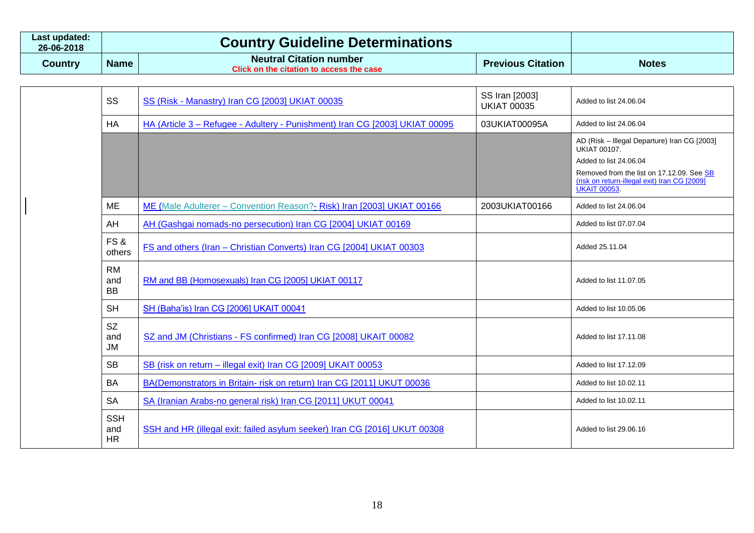| Last updated:<br>26-06-2018 |             | <b>Country Guideline Determinations</b>                                           |                          |              |
|-----------------------------|-------------|-----------------------------------------------------------------------------------|--------------------------|--------------|
| <b>Country</b>              | <b>Name</b> | <b>Neutral Citation number</b><br><b>Click on the citation to access the case</b> | <b>Previous Citation</b> | <b>Notes</b> |

| SS                            | SS (Risk - Manastry) Iran CG [2003] UKIAT 00035                             | SS Iran [2003]<br><b>UKIAT 00035</b> | Added to list 24.06.04                                                                                                                                                                                            |
|-------------------------------|-----------------------------------------------------------------------------|--------------------------------------|-------------------------------------------------------------------------------------------------------------------------------------------------------------------------------------------------------------------|
| <b>HA</b>                     | HA (Article 3 - Refugee - Adultery - Punishment) Iran CG [2003] UKIAT 00095 | 03UKIAT00095A                        | Added to list 24.06.04                                                                                                                                                                                            |
|                               |                                                                             |                                      | AD (Risk - Illegal Departure) Iran CG [2003]<br><b>UKIAT 00107.</b><br>Added to list 24.06.04<br>Removed from the list on 17.12.09. See SB<br>(risk on return-illegal exit) Iran CG [2009]<br><b>UKAIT 00053.</b> |
| ME                            | ME (Male Adulterer - Convention Reason? - Risk) Iran [2003] UKIAT 00166     | 2003UKIAT00166                       | Added to list 24.06.04                                                                                                                                                                                            |
| AH                            | AH (Gashgai nomads-no persecution) Iran CG [2004] UKIAT 00169               |                                      | Added to list 07.07.04                                                                                                                                                                                            |
| FS&<br>others                 | FS and others (Iran - Christian Converts) Iran CG [2004] UKIAT 00303        |                                      | Added 25.11.04                                                                                                                                                                                                    |
| <b>RM</b><br>and<br><b>BB</b> | RM and BB (Homosexuals) Iran CG [2005] UKIAT 00117                          |                                      | Added to list 11.07.05                                                                                                                                                                                            |
| <b>SH</b>                     | SH (Baha'is) Iran CG [2006] UKAIT 00041                                     |                                      | Added to list 10.05.06                                                                                                                                                                                            |
| <b>SZ</b><br>and<br><b>JM</b> | SZ and JM (Christians - FS confirmed) Iran CG [2008] UKAIT 00082            |                                      | Added to list 17.11.08                                                                                                                                                                                            |
| <b>SB</b>                     | SB (risk on return - illegal exit) Iran CG [2009] UKAIT 00053               |                                      | Added to list 17.12.09                                                                                                                                                                                            |
| BA                            | BA(Demonstrators in Britain- risk on return) Iran CG [2011] UKUT 00036      |                                      | Added to list 10.02.11                                                                                                                                                                                            |
| <b>SA</b>                     | SA (Iranian Arabs-no general risk) Iran CG [2011] UKUT 00041                |                                      | Added to list 10.02.11                                                                                                                                                                                            |
| <b>SSH</b><br>and<br>HR       | SSH and HR (illegal exit: failed asylum seeker) Iran CG [2016] UKUT 00308   |                                      | Added to list 29.06.16                                                                                                                                                                                            |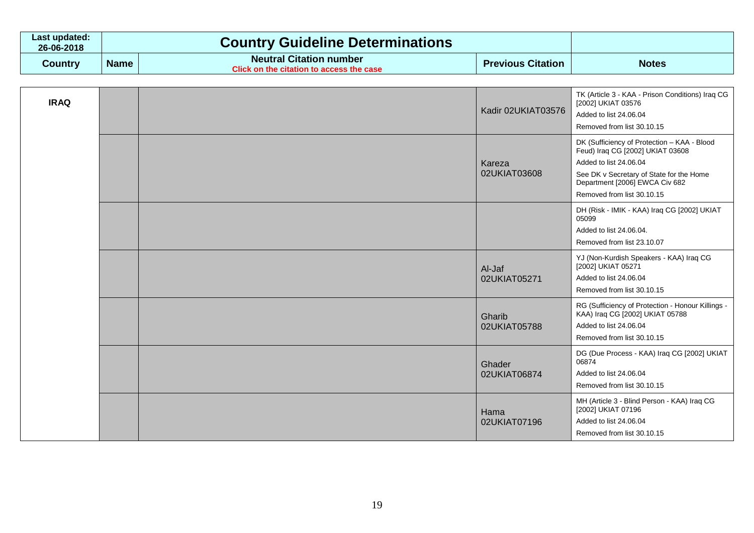| Last updated:<br>26-06-2018 | <b>Country Guideline Determinations</b> |                                                                            |                          |              |
|-----------------------------|-----------------------------------------|----------------------------------------------------------------------------|--------------------------|--------------|
| Country                     | <b>Name</b>                             | <b>Neutral Citation number</b><br>Click on the citation to access the case | <b>Previous Citation</b> | <b>Notes</b> |

| <b>IRAQ</b> |  | Kadir 02UKIAT03576     | TK (Article 3 - KAA - Prison Conditions) Iraq CG<br>[2002] UKIAT 03576<br>Added to list 24.06.04<br>Removed from list 30.10.15                                                                                        |
|-------------|--|------------------------|-----------------------------------------------------------------------------------------------------------------------------------------------------------------------------------------------------------------------|
|             |  | Kareza<br>02UKIAT03608 | DK (Sufficiency of Protection - KAA - Blood<br>Feud) Iraq CG [2002] UKIAT 03608<br>Added to list 24.06.04<br>See DK v Secretary of State for the Home<br>Department [2006] EWCA Civ 682<br>Removed from list 30.10.15 |
|             |  |                        | DH (Risk - IMIK - KAA) Iraq CG [2002] UKIAT<br>05099<br>Added to list 24.06.04.<br>Removed from list 23.10.07                                                                                                         |
|             |  | Al-Jaf<br>02UKIAT05271 | YJ (Non-Kurdish Speakers - KAA) Iraq CG<br>[2002] UKIAT 05271<br>Added to list 24.06.04<br>Removed from list 30.10.15                                                                                                 |
|             |  | Gharib<br>02UKIAT05788 | RG (Sufficiency of Protection - Honour Killings -<br>KAA) Iraq CG [2002] UKIAT 05788<br>Added to list 24.06.04<br>Removed from list 30.10.15                                                                          |
|             |  | Ghader<br>02UKIAT06874 | DG (Due Process - KAA) Iraq CG [2002] UKIAT<br>06874<br>Added to list 24.06.04<br>Removed from list 30.10.15                                                                                                          |
|             |  | Hama<br>02UKIAT07196   | MH (Article 3 - Blind Person - KAA) Iraq CG<br>[2002] UKIAT 07196<br>Added to list 24.06.04<br>Removed from list 30.10.15                                                                                             |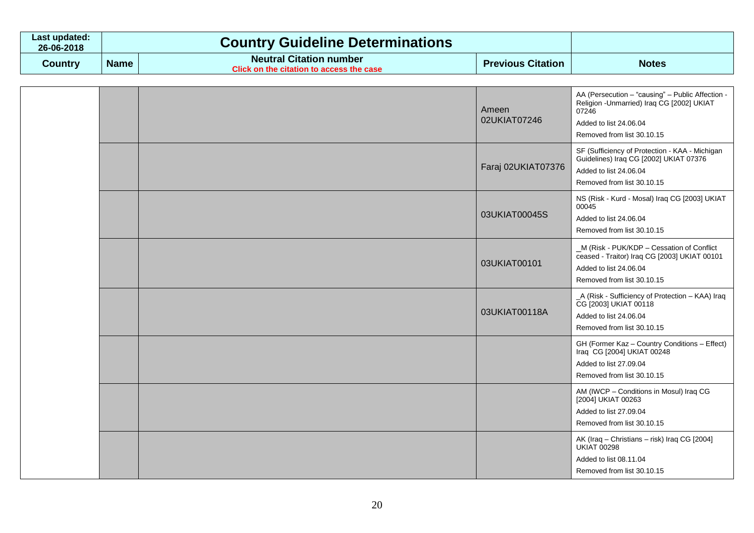| Last updated:<br>26-06-2018 |             | <b>Country Guideline Determinations</b>                                           |                          |              |
|-----------------------------|-------------|-----------------------------------------------------------------------------------|--------------------------|--------------|
| Country                     | <b>Name</b> | <b>Neutral Citation number</b><br><b>Click on the citation to access the case</b> | <b>Previous Citation</b> | <b>Notes</b> |

|  |               |                        |                        | AA (Persecution - "causing" - Public Affection -                                           |
|--|---------------|------------------------|------------------------|--------------------------------------------------------------------------------------------|
|  |               |                        | Ameen                  | Religion - Unmarried) Iraq CG [2002] UKIAT<br>07246                                        |
|  |               |                        | 02UKIAT07246           | Added to list 24.06.04                                                                     |
|  |               |                        |                        | Removed from list 30.10.15                                                                 |
|  |               |                        |                        | SF (Sufficiency of Protection - KAA - Michigan<br>Guidelines) Iraq CG [2002] UKIAT 07376   |
|  |               |                        | Faraj 02UKIAT07376     | Added to list 24.06.04                                                                     |
|  |               |                        |                        | Removed from list 30.10.15                                                                 |
|  |               |                        |                        | NS (Risk - Kurd - Mosal) Iraq CG [2003] UKIAT<br>00045                                     |
|  | 03UKIAT00045S | Added to list 24.06.04 |                        |                                                                                            |
|  |               |                        |                        | Removed from list 30.10.15                                                                 |
|  |               |                        | 03UKIAT00101           | _M (Risk - PUK/KDP - Cessation of Conflict<br>ceased - Traitor) Iraq CG [2003] UKIAT 00101 |
|  |               | Added to list 24.06.04 |                        |                                                                                            |
|  |               |                        |                        | Removed from list 30.10.15                                                                 |
|  |               | 03UKIAT00118A          |                        | _A (Risk - Sufficiency of Protection - KAA) Iraq<br>CG [2003] UKIAT 00118                  |
|  |               |                        | Added to list 24.06.04 |                                                                                            |
|  |               |                        |                        | Removed from list 30.10.15                                                                 |
|  |               |                        |                        | GH (Former Kaz - Country Conditions - Effect)<br>Iraq CG [2004] UKIAT 00248                |
|  |               |                        |                        | Added to list 27.09.04                                                                     |
|  |               |                        |                        | Removed from list 30.10.15                                                                 |
|  |               |                        |                        | AM (IWCP - Conditions in Mosul) Iraq CG<br>[2004] UKIAT 00263                              |
|  |               |                        |                        | Added to list 27.09.04                                                                     |
|  |               |                        |                        | Removed from list 30.10.15                                                                 |
|  |               |                        |                        | AK (Iraq - Christians - risk) Iraq CG [2004]<br><b>UKIAT 00298</b>                         |
|  |               |                        |                        | Added to list 08.11.04                                                                     |
|  |               |                        |                        | Removed from list 30.10.15                                                                 |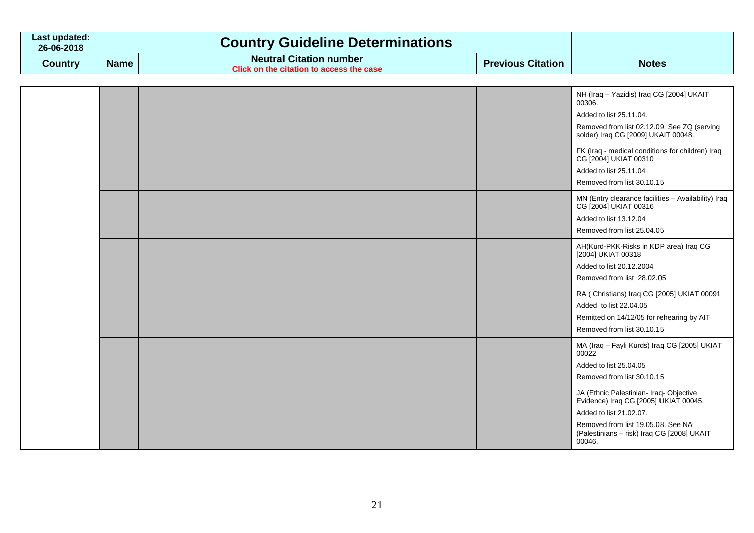| Last updated:<br>26-06-2018 |             | <b>Country Guideline Determinations</b>                                    |                          |              |
|-----------------------------|-------------|----------------------------------------------------------------------------|--------------------------|--------------|
| Country                     | <b>Name</b> | <b>Neutral Citation number</b><br>Click on the citation to access the case | <b>Previous Citation</b> | <b>Notes</b> |

|  |  | NH (Iraq - Yazidis) Iraq CG [2004] UKAIT<br>00306.<br>Added to list 25.11.04.<br>Removed from list 02.12.09. See ZQ (serving<br>solder) Iraq CG [2009] UKAIT 00048.                                       |
|--|--|-----------------------------------------------------------------------------------------------------------------------------------------------------------------------------------------------------------|
|  |  | FK (Iraq - medical conditions for children) Iraq<br>CG [2004] UKIAT 00310<br>Added to list 25.11.04<br>Removed from list 30.10.15                                                                         |
|  |  | MN (Entry clearance facilities - Availability) Iraq<br>CG [2004] UKIAT 00316<br>Added to list 13.12.04<br>Removed from list 25.04.05                                                                      |
|  |  | AH(Kurd-PKK-Risks in KDP area) Iraq CG<br>[2004] UKIAT 00318<br>Added to list 20.12.2004<br>Removed from list 28.02.05                                                                                    |
|  |  | RA (Christians) Iraq CG [2005] UKIAT 00091<br>Added to list 22,04.05<br>Remitted on 14/12/05 for rehearing by AIT<br>Removed from list 30.10.15                                                           |
|  |  | MA (Iraq - Fayli Kurds) Iraq CG [2005] UKIAT<br>00022<br>Added to list 25.04.05<br>Removed from list 30.10.15                                                                                             |
|  |  | JA (Ethnic Palestinian- Iraq- Objective<br>Evidence) Iraq CG [2005] UKIAT 00045.<br>Added to list 21.02.07.<br>Removed from list 19.05.08. See NA<br>(Palestinians - risk) Iraq CG [2008] UKAIT<br>00046. |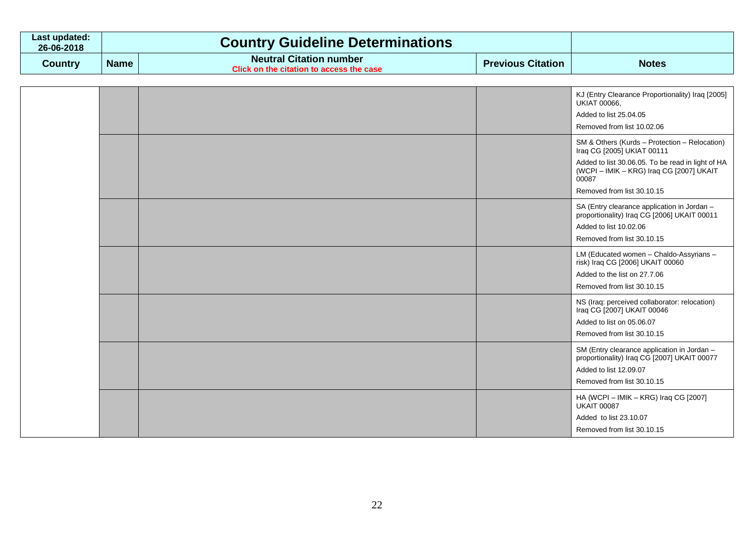| Last updated:<br>26-06-2018 |             | <b>Country Guideline Determinations</b>                                    |                          |              |
|-----------------------------|-------------|----------------------------------------------------------------------------|--------------------------|--------------|
| Country                     | <b>Name</b> | <b>Neutral Citation number</b><br>Click on the citation to access the case | <b>Previous Citation</b> | <b>Notes</b> |

|  |  | KJ (Entry Clearance Proportionality) Iraq [2005]<br><b>UKIAT 00066,</b><br>Added to list 25.04.05<br>Removed from list 10.02.06                                                                                     |
|--|--|---------------------------------------------------------------------------------------------------------------------------------------------------------------------------------------------------------------------|
|  |  | SM & Others (Kurds - Protection - Relocation)<br>Iraq CG [2005] UKIAT 00111<br>Added to list 30.06.05. To be read in light of HA<br>(WCPI – IMIK – KRG) Iraq CG [2007] UKAIT<br>00087<br>Removed from list 30.10.15 |
|  |  | SA (Entry clearance application in Jordan -<br>proportionality) Iraq CG [2006] UKAIT 00011<br>Added to list 10.02.06<br>Removed from list 30.10.15                                                                  |
|  |  | LM (Educated women - Chaldo-Assyrians -<br>risk) Iraq CG [2006] UKAIT 00060<br>Added to the list on 27.7.06<br>Removed from list 30.10.15                                                                           |
|  |  | NS (Iraq: perceived collaborator: relocation)<br>Iraq CG [2007] UKAIT 00046<br>Added to list on 05.06.07<br>Removed from list 30.10.15                                                                              |
|  |  | SM (Entry clearance application in Jordan -<br>proportionality) Iraq CG [2007] UKAIT 00077<br>Added to list 12.09.07<br>Removed from list 30.10.15                                                                  |
|  |  | HA (WCPI - IMIK - KRG) Iraq CG [2007]<br><b>UKAIT 00087</b><br>Added to list 23.10.07<br>Removed from list 30.10.15                                                                                                 |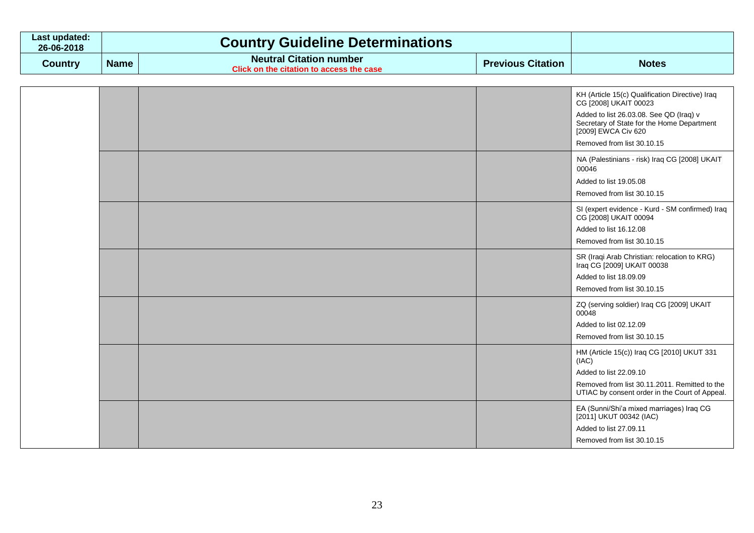| Last updated:<br>26-06-2018 |             | <b>Country Guideline Determinations</b>                                    |                          |              |
|-----------------------------|-------------|----------------------------------------------------------------------------|--------------------------|--------------|
| Country                     | <b>Name</b> | <b>Neutral Citation number</b><br>Click on the citation to access the case | <b>Previous Citation</b> | <b>Notes</b> |

|  |  | KH (Article 15(c) Qualification Directive) Iraq<br>CG [2008] UKAIT 00023<br>Added to list 26.03.08. See QD (Iraq) v<br>Secretary of State for the Home Department<br>[2009] EWCA Civ 620<br>Removed from list 30.10.15 |
|--|--|------------------------------------------------------------------------------------------------------------------------------------------------------------------------------------------------------------------------|
|  |  | NA (Palestinians - risk) Iraq CG [2008] UKAIT<br>00046<br>Added to list 19.05.08<br>Removed from list 30.10.15                                                                                                         |
|  |  | SI (expert evidence - Kurd - SM confirmed) Iraq<br>CG [2008] UKAIT 00094<br>Added to list 16.12.08<br>Removed from list 30.10.15                                                                                       |
|  |  | SR (Iraqi Arab Christian: relocation to KRG)<br>Iraq CG [2009] UKAIT 00038<br>Added to list 18.09.09<br>Removed from list 30.10.15                                                                                     |
|  |  | ZQ (serving soldier) Iraq CG [2009] UKAIT<br>00048<br>Added to list 02.12.09<br>Removed from list 30.10.15                                                                                                             |
|  |  | HM (Article 15(c)) Iraq CG [2010] UKUT 331<br>(IAC)<br>Added to list 22.09.10<br>Removed from list 30.11.2011. Remitted to the<br>UTIAC by consent order in the Court of Appeal.                                       |
|  |  | EA (Sunni/Shi'a mixed marriages) Iraq CG<br>[2011] UKUT 00342 (IAC)<br>Added to list 27.09.11<br>Removed from list 30.10.15                                                                                            |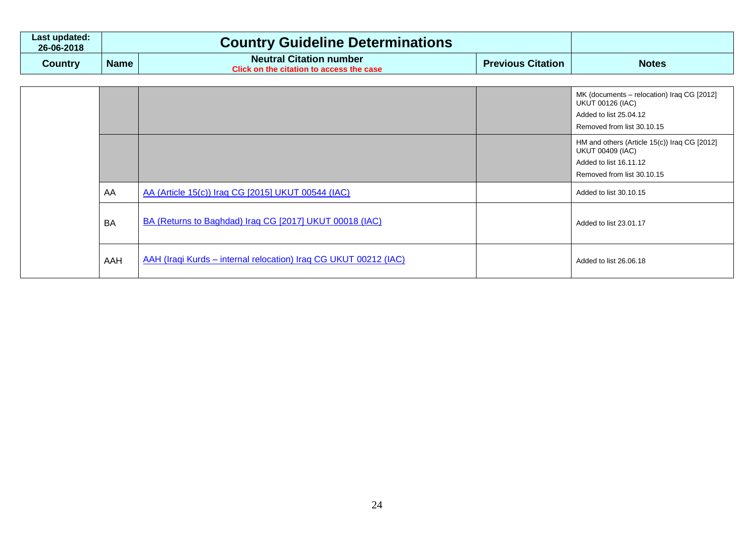| Last updated:<br>26-06-2018 |             | <b>Country Guideline Determinations</b>                                           |                          |              |
|-----------------------------|-------------|-----------------------------------------------------------------------------------|--------------------------|--------------|
| Country                     | <b>Name</b> | <b>Neutral Citation number</b><br><b>Click on the citation to access the case</b> | <b>Previous Citation</b> | <b>Notes</b> |

|           |                                                                  | MK (documents – relocation) Iraq CG [2012]<br><b>UKUT 00126 (IAC)</b><br>Added to list 25.04.12<br>Removed from list 30.10.15   |
|-----------|------------------------------------------------------------------|---------------------------------------------------------------------------------------------------------------------------------|
|           |                                                                  | HM and others (Article 15(c)) Iraq CG [2012]<br><b>UKUT 00409 (IAC)</b><br>Added to list 16.11.12<br>Removed from list 30.10.15 |
| AA        | AA (Article 15(c)) Iraq CG [2015] UKUT 00544 (IAC)               | Added to list 30.10.15                                                                                                          |
| <b>BA</b> | BA (Returns to Baghdad) Iraq CG [2017] UKUT 00018 (IAC)          | Added to list 23.01.17                                                                                                          |
| AAH       | AAH (Iraqi Kurds - internal relocation) Iraq CG UKUT 00212 (IAC) | Added to list 26.06.18                                                                                                          |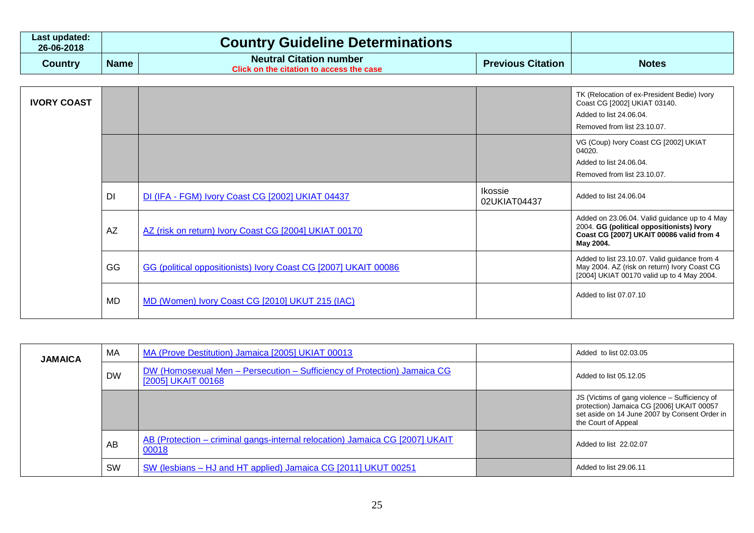| Last updated:<br>26-06-2018 | <b>Country Guideline Determinations</b> |                                                                                                |                          |              |
|-----------------------------|-----------------------------------------|------------------------------------------------------------------------------------------------|--------------------------|--------------|
| Country                     | <b>Name</b>                             | <b>Neutral Citation number</b><br>$\degree$ Click on the citation to access the case $\degree$ | <b>Previous Citation</b> | <b>Notes</b> |

| <b>IVORY COAST</b> |           |                                                                 |                         | TK (Relocation of ex-President Bedie) Ivory<br>Coast CG [2002] UKIAT 03140.<br>Added to list 24.06.04.<br>Removed from list 23.10.07.               |
|--------------------|-----------|-----------------------------------------------------------------|-------------------------|-----------------------------------------------------------------------------------------------------------------------------------------------------|
|                    |           |                                                                 |                         | VG (Coup) Ivory Coast CG [2002] UKIAT<br>04020.<br>Added to list 24,06,04.<br>Removed from list 23.10.07.                                           |
|                    | DI        | DI (IFA - FGM) Ivory Coast CG [2002] UKIAT 04437                | Ikossie<br>02UKIAT04437 | Added to list 24.06.04                                                                                                                              |
|                    | <b>AZ</b> | AZ (risk on return) Ivory Coast CG [2004] UKIAT 00170           |                         | Added on 23.06.04. Valid guidance up to 4 May<br>2004. GG (political oppositionists) Ivory<br>Coast CG [2007] UKAIT 00086 valid from 4<br>May 2004. |
|                    | GG        | GG (political oppositionists) Ivory Coast CG [2007] UKAIT 00086 |                         | Added to list 23.10.07. Valid guidance from 4<br>May 2004. AZ (risk on return) Ivory Coast CG<br>[2004] UKIAT 00170 valid up to 4 May 2004.         |
|                    | <b>MD</b> | MD (Women) Ivory Coast CG [2010] UKUT 215 (IAC)                 |                         | Added to list 07.07.10                                                                                                                              |

| <b>JAMAICA</b> | MA        | MA (Prove Destitution) Jamaica [2005] UKIAT 00013                                              | Added to list 02.03.05                                                                                                                                             |
|----------------|-----------|------------------------------------------------------------------------------------------------|--------------------------------------------------------------------------------------------------------------------------------------------------------------------|
|                | <b>DW</b> | DW (Homosexual Men - Persecution - Sufficiency of Protection) Jamaica CG<br>[2005] UKAIT 00168 | Added to list 05.12.05                                                                                                                                             |
|                |           |                                                                                                | JS (Victims of gang violence – Sufficiency of<br>protection) Jamaica CG [2006] UKAIT 00057<br>set aside on 14 June 2007 by Consent Order in<br>the Court of Appeal |
|                | AB        | AB (Protection – criminal gangs-internal relocation) Jamaica CG [2007] UKAIT<br>00018          | Added to list 22,02,07                                                                                                                                             |
|                | <b>SW</b> | SW (lesbians – HJ and HT applied) Jamaica CG [2011] UKUT 00251                                 | Added to list 29,06.11                                                                                                                                             |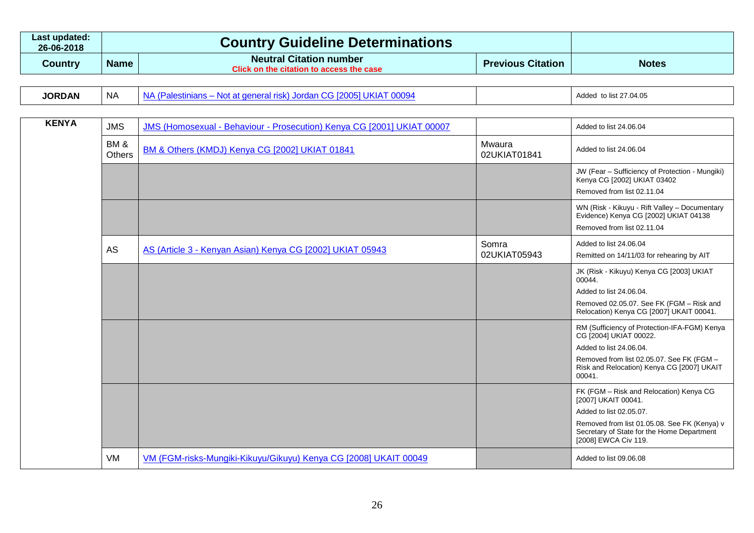| Last updated:<br>26-06-2018 |             | <b>Country Guideline Determinations</b>                                    |                          |              |
|-----------------------------|-------------|----------------------------------------------------------------------------|--------------------------|--------------|
| Country                     | <b>Name</b> | <b>Neutral Citation number</b><br>Click on the citation to access the case | <b>Previous Citation</b> | <b>Notes</b> |

| <b>JORDAN</b> | NA | .<br>120100<br><b>NC</b><br>41 IV<br>. .<br>$\sim$ |  | to list 27.04.05<br>- Addeu - |
|---------------|----|----------------------------------------------------|--|-------------------------------|
|---------------|----|----------------------------------------------------|--|-------------------------------|

| <b>KENYA</b> | <b>JMS</b>           | JMS (Homosexual - Behaviour - Prosecution) Kenya CG [2001] UKIAT 00007 |                        | Added to list 24.06.04                                                                                               |
|--------------|----------------------|------------------------------------------------------------------------|------------------------|----------------------------------------------------------------------------------------------------------------------|
|              | BM&<br><b>Others</b> | BM & Others (KMDJ) Kenya CG [2002] UKIAT 01841                         | Mwaura<br>02UKIAT01841 | Added to list 24.06.04                                                                                               |
|              |                      |                                                                        |                        | JW (Fear - Sufficiency of Protection - Mungiki)<br>Kenya CG [2002] UKIAT 03402<br>Removed from list 02.11.04         |
|              |                      |                                                                        |                        | WN (Risk - Kikuyu - Rift Valley - Documentary<br>Evidence) Kenya CG [2002] UKIAT 04138<br>Removed from list 02.11.04 |
|              | <b>AS</b>            | AS (Article 3 - Kenyan Asian) Kenya CG [2002] UKIAT 05943              | Somra<br>02UKIAT05943  | Added to list 24.06.04<br>Remitted on 14/11/03 for rehearing by AIT                                                  |
|              |                      |                                                                        |                        | JK (Risk - Kikuyu) Kenya CG [2003] UKIAT<br>00044.                                                                   |
|              |                      |                                                                        |                        | Added to list 24.06.04.                                                                                              |
|              |                      |                                                                        |                        | Removed 02.05.07. See FK (FGM - Risk and<br>Relocation) Kenya CG [2007] UKAIT 00041.                                 |
|              |                      |                                                                        |                        | RM (Sufficiency of Protection-IFA-FGM) Kenya<br>CG [2004] UKIAT 00022.                                               |
|              |                      |                                                                        |                        | Added to list 24.06.04.                                                                                              |
|              |                      |                                                                        |                        | Removed from list 02.05.07. See FK (FGM -<br>Risk and Relocation) Kenya CG [2007] UKAIT<br>00041.                    |
|              |                      |                                                                        |                        | FK (FGM - Risk and Relocation) Kenya CG<br>[2007] UKAIT 00041.                                                       |
|              |                      |                                                                        |                        | Added to list 02.05.07.                                                                                              |
|              |                      |                                                                        |                        | Removed from list 01.05.08. See FK (Kenya) v<br>Secretary of State for the Home Department<br>[2008] EWCA Civ 119.   |
|              | VM                   | VM (FGM-risks-Mungiki-Kikuyu/Gikuyu) Kenya CG [2008] UKAIT 00049       |                        | Added to list 09.06.08                                                                                               |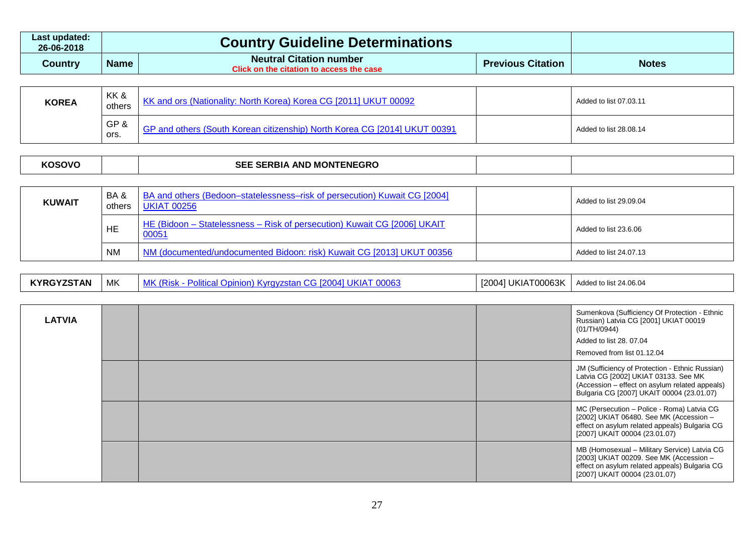| Last updated:<br>26-06-2018 |             | <b>Country Guideline Determinations</b>                                    |                          |              |
|-----------------------------|-------------|----------------------------------------------------------------------------|--------------------------|--------------|
| Country                     | <b>Name</b> | <b>Neutral Citation number</b><br>Click on the citation to access the case | <b>Previous Citation</b> | <b>Notes</b> |

| <b>KOREA</b> | KK &<br>others | KK and ors (Nationality: North Korea) Korea CG [2011] UKUT 00092                       | Added to list 07.03.11 |
|--------------|----------------|----------------------------------------------------------------------------------------|------------------------|
|              | GP&<br>ors.    | <sup>1</sup> GP and others (South Korean citizenship) North Korea CG [2014] UKUT 00391 | Added to list 28.08.14 |

| nsnvr | <u> егг</u><br>_∟ <sub>N</sub> BIA AND M∩`ົ<br>EGRC<br><b>MONT</b><br>SEI<br>יט |  |  |
|-------|---------------------------------------------------------------------------------|--|--|
|-------|---------------------------------------------------------------------------------|--|--|

| <b>KUWAIT</b> | BA&<br>others | BA and others (Bedoon–statelessness–risk of persecution) Kuwait CG [2004]<br><b>UKIAT 00256</b> | Added to list 29.09.04 |
|---------------|---------------|-------------------------------------------------------------------------------------------------|------------------------|
|               | <b>HE</b>     | HE (Bidoon - Statelessness - Risk of persecution) Kuwait CG [2006] UKAIT<br>00051               | Added to list 23.6.06  |
|               | <b>NM</b>     | NM (documented/undocumented Bidoon: risk) Kuwait CG [2013] UKUT 00356                           | Added to list 24.07.13 |

| <b>INDAV7CTAM</b><br><b>TAN</b><br>$\mathbf{r}$ | MK | .0007<br>. .<br><br>эм.<br>uuv.<br>. | JKIAT00063K<br>[2004] | Added to list 24.06.04 |
|-------------------------------------------------|----|--------------------------------------|-----------------------|------------------------|
|-------------------------------------------------|----|--------------------------------------|-----------------------|------------------------|

| <b>LATVIA</b> |  | Sumenkova (Sufficiency Of Protection - Ethnic<br>Russian) Latvia CG [2001] UKIAT 00019<br>(01/TH/0944)<br>Added to list 28, 07.04<br>Removed from list 01.12.04                        |
|---------------|--|----------------------------------------------------------------------------------------------------------------------------------------------------------------------------------------|
|               |  | JM (Sufficiency of Protection - Ethnic Russian)<br>Latvia CG [2002] UKIAT 03133. See MK<br>(Accession - effect on asylum related appeals)<br>Bulgaria CG [2007] UKAIT 00004 (23.01.07) |
|               |  | MC (Persecution - Police - Roma) Latvia CG<br>[2002] UKIAT 06480. See MK (Accession -<br>effect on asylum related appeals) Bulgaria CG<br>[2007] UKAIT 00004 (23.01.07)                |
|               |  | MB (Homosexual - Military Service) Latvia CG<br>[2003] UKIAT 00209. See MK (Accession -<br>effect on asylum related appeals) Bulgaria CG<br>[2007] UKAIT 00004 (23.01.07)              |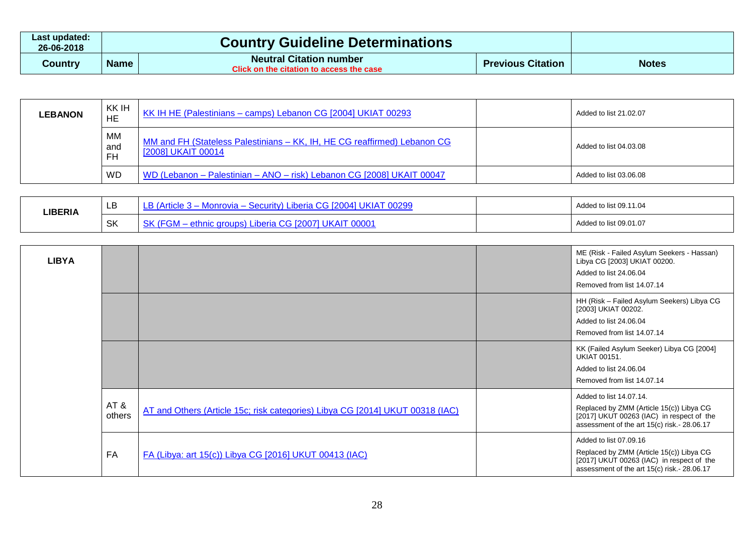| Last updated:<br>26-06-2018 |             | <b>Country Guideline Determinations</b>                                    |                          |              |
|-----------------------------|-------------|----------------------------------------------------------------------------|--------------------------|--------------|
| Country                     | <b>Name</b> | <b>Neutral Citation number</b><br>Click on the citation to access the case | <b>Previous Citation</b> | <b>Notes</b> |

| <b>LEBANON</b> | KK IH<br>HE                   | KK IH HE (Palestinians – camps) Lebanon CG [2004] UKIAT 00293                                  | Added to list 21.02.07 |
|----------------|-------------------------------|------------------------------------------------------------------------------------------------|------------------------|
|                | <b>MM</b><br>and<br><b>FH</b> | MM and FH (Stateless Palestinians - KK, IH, HE CG reaffirmed) Lebanon CG<br>[2008] UKAIT 00014 | Added to list 04.03.08 |
|                | <b>WD</b>                     | WD (Lebanon - Palestinian - ANO - risk) Lebanon CG [2008] UKAIT 00047                          | Added to list 03.06.08 |

| <b>LIBERIA</b> | LD        | :uritv)<br>Artick<br><u>uuzys</u><br>onrov               | Added to list 09.11.04 |
|----------------|-----------|----------------------------------------------------------|------------------------|
|                | <b>SK</b> | .Ib<br>inc<br>$\sim$<br>. .<br>Юr<br>-uw<br>۱۵٬۰۰۰ کال ل | Added to list 09.01.07 |

| <b>LIBYA</b> |               |                                                                               | ME (Risk - Failed Asylum Seekers - Hassan)<br>Libya CG [2003] UKIAT 00200.<br>Added to list 24.06.04<br>Removed from list 14.07.14                              |
|--------------|---------------|-------------------------------------------------------------------------------|-----------------------------------------------------------------------------------------------------------------------------------------------------------------|
|              |               |                                                                               | HH (Risk - Failed Asylum Seekers) Libya CG<br>[2003] UKIAT 00202.<br>Added to list 24.06.04<br>Removed from list 14.07.14                                       |
|              |               |                                                                               | KK (Failed Asylum Seeker) Libya CG [2004]<br><b>UKIAT 00151.</b><br>Added to list 24.06.04<br>Removed from list 14.07.14                                        |
|              | AT&<br>others | AT and Others (Article 15c; risk categories) Libya CG [2014] UKUT 00318 (IAC) | Added to list 14.07.14.<br>Replaced by ZMM (Article 15(c)) Libya CG<br>[2017] UKUT 00263 (IAC) in respect of the<br>assessment of the art 15(c) risk.- 28.06.17 |
|              | FA            | FA (Libya: art 15(c)) Libya CG [2016] UKUT 00413 (IAC)                        | Added to list 07.09.16<br>Replaced by ZMM (Article 15(c)) Libya CG<br>[2017] UKUT 00263 (IAC) in respect of the<br>assessment of the art 15(c) risk. - 28.06.17 |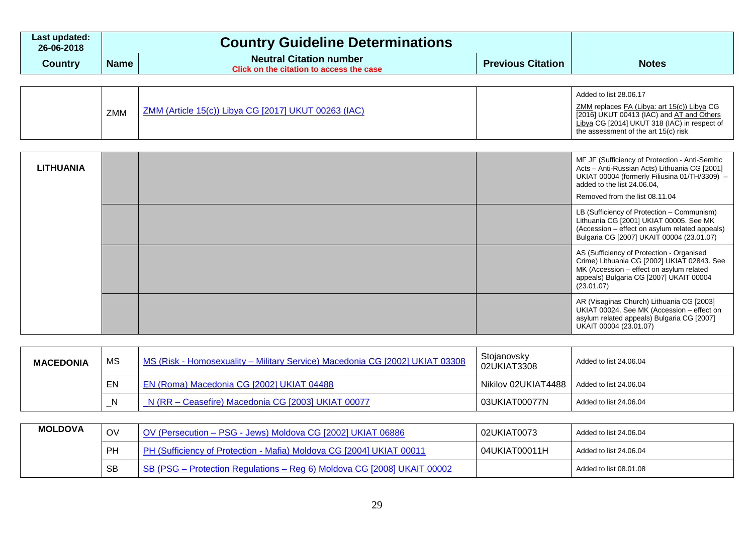| Last updated:<br>26-06-2018 |             | <b>Country Guideline Determinations</b>                                    |                          |              |
|-----------------------------|-------------|----------------------------------------------------------------------------|--------------------------|--------------|
| Country                     | <b>Name</b> | <b>Neutral Citation number</b><br>Click on the citation to access the case | <b>Previous Citation</b> | <b>Notes</b> |

| ZMM (Article 15(c)) Libya CG [2017] UKUT 00263 (IAC)<br>ZMM | Added to list 28.06.17<br>ZMM replaces FA (Libya: art 15(c)) Libya CG<br>[2016] UKUT 00413 (IAC) and AT and Others<br>Libya CG [2014] UKUT 318 (IAC) in respect of<br>the assessment of the art 15(c) risk |
|-------------------------------------------------------------|------------------------------------------------------------------------------------------------------------------------------------------------------------------------------------------------------------|
|-------------------------------------------------------------|------------------------------------------------------------------------------------------------------------------------------------------------------------------------------------------------------------|

| <b>LITHUANIA</b> |  | MF JF (Sufficiency of Protection - Anti-Semitic<br>Acts - Anti-Russian Acts) Lithuania CG [2001]<br>UKIAT 00004 (formerly Filiusina 01/TH/3309) -<br>added to the list 24.06.04,<br>Removed from the list 08.11.04 |
|------------------|--|--------------------------------------------------------------------------------------------------------------------------------------------------------------------------------------------------------------------|
|                  |  | LB (Sufficiency of Protection - Communism)<br>Lithuania CG [2001] UKIAT 00005. See MK<br>(Accession – effect on asylum related appeals)<br>Bulgaria CG [2007] UKAIT 00004 (23.01.07)                               |
|                  |  | AS (Sufficiency of Protection - Organised<br>Crime) Lithuania CG [2002] UKIAT 02843. See<br>MK (Accession - effect on asylum related<br>appeals) Bulgaria CG [2007] UKAIT 00004<br>(23.01.07)                      |
|                  |  | AR (Visaginas Church) Lithuania CG [2003]<br>UKIAT 00024. See MK (Accession - effect on<br>asylum related appeals) Bulgaria CG [2007]<br>UKAIT 00004 (23.01.07)                                                    |

| <b>MACEDONIA</b> | MS | MS (Risk - Homosexuality – Military Service) Macedonia CG [2002] UKIAT 03308 | Stojanovsky<br>02UKIAT3308 | Added to list 24.06.04 |
|------------------|----|------------------------------------------------------------------------------|----------------------------|------------------------|
|                  | EN | EN (Roma) Macedonia CG [2002] UKIAT 04488                                    | Nikilov 02UKIAT4488        | Added to list 24.06.04 |
|                  | -N | N (RR - Ceasefire) Macedonia CG [2003] UKIAT 00077                           | 03UKIAT00077N              | Added to list 24.06.04 |

| <b>MOLDOVA</b> | OV        | OV (Persecution - PSG - Jews) Moldova CG [2002] UKIAT 06886             | 02UKIAT0073   | Added to list 24.06.04 |
|----------------|-----------|-------------------------------------------------------------------------|---------------|------------------------|
|                | PF.       | PH (Sufficiency of Protection - Mafia) Moldova CG [2004] UKIAT 00011    | 04UKIAT00011H | Added to list 24.06.04 |
|                | <b>SB</b> | SB (PSG – Protection Regulations – Reg 6) Moldova CG [2008] UKAIT 00002 |               | Added to list 08.01.08 |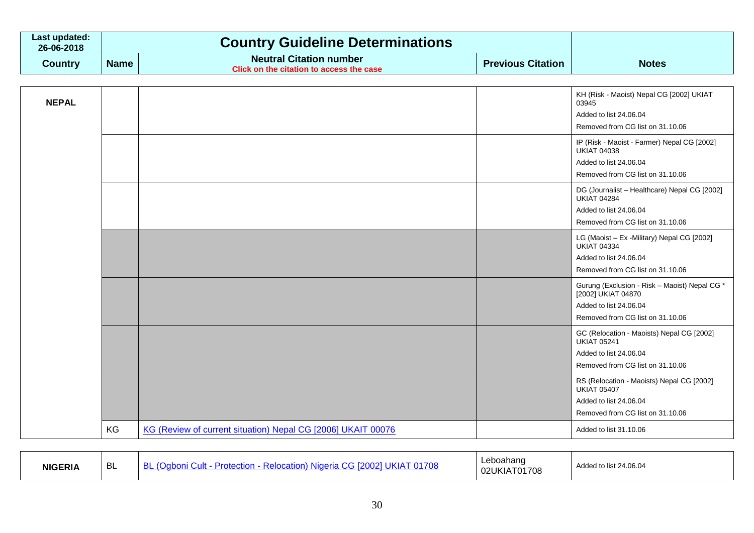| Last updated:<br>26-06-2018 |             | <b>Country Guideline Determinations</b>                                    |                          |              |
|-----------------------------|-------------|----------------------------------------------------------------------------|--------------------------|--------------|
| Country                     | <b>Name</b> | <b>Neutral Citation number</b><br>Click on the citation to access the case | <b>Previous Citation</b> | <b>Notes</b> |

| <b>NEPAL</b> |    |                                                              | KH (Risk - Maoist) Nepal CG [2002] UKIAT<br>03945<br>Added to list 24.06.04<br>Removed from CG list on 31.10.06<br>IP (Risk - Maoist - Farmer) Nepal CG [2002]<br><b>UKIAT 04038</b> |
|--------------|----|--------------------------------------------------------------|--------------------------------------------------------------------------------------------------------------------------------------------------------------------------------------|
|              |    |                                                              | Added to list 24.06.04<br>Removed from CG list on 31.10.06                                                                                                                           |
|              |    |                                                              | DG (Journalist - Healthcare) Nepal CG [2002]<br><b>UKIAT 04284</b><br>Added to list 24.06.04<br>Removed from CG list on 31.10.06                                                     |
|              |    |                                                              | LG (Maoist - Ex -Military) Nepal CG [2002]<br><b>UKIAT 04334</b><br>Added to list 24.06.04<br>Removed from CG list on 31.10.06                                                       |
|              |    |                                                              | Gurung (Exclusion - Risk - Maoist) Nepal CG *<br>[2002] UKIAT 04870<br>Added to list 24.06.04<br>Removed from CG list on 31.10.06                                                    |
|              |    |                                                              | GC (Relocation - Maoists) Nepal CG [2002]<br><b>UKIAT 05241</b><br>Added to list 24.06.04<br>Removed from CG list on 31.10.06                                                        |
|              |    |                                                              | RS (Relocation - Maoists) Nepal CG [2002]<br><b>UKIAT 05407</b><br>Added to list 24.06.04<br>Removed from CG list on 31.10.06                                                        |
|              | KG | KG (Review of current situation) Nepal CG [2006] UKAIT 00076 | Added to list 31.10.06                                                                                                                                                               |

| <b>NIGERIA</b> | Ð١<br>◡∟ | וח<br>l 708<br>Ctio.<br>auo<br>. INIIA <i>r</i><br>וח<br>$\cdot$ . | Leboahand<br>02UKIAT01708 | list 24.06.04 i<br>Added |  |
|----------------|----------|--------------------------------------------------------------------|---------------------------|--------------------------|--|
|----------------|----------|--------------------------------------------------------------------|---------------------------|--------------------------|--|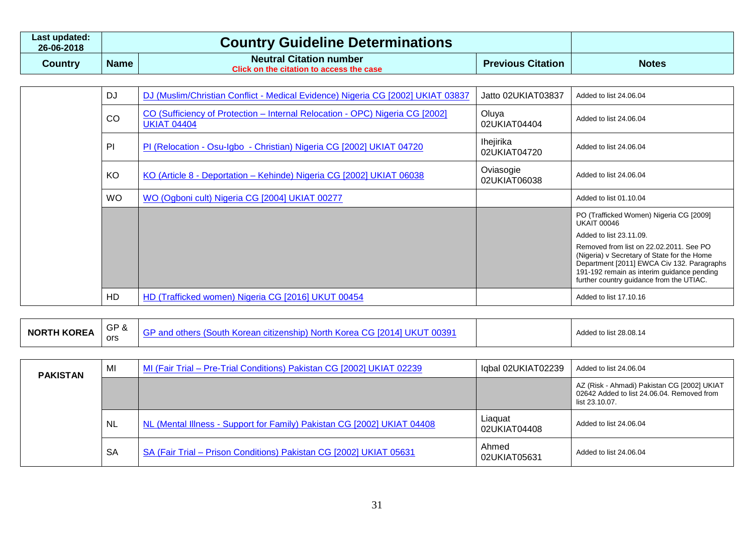| ∟ast updated:<br>26-06-2018 |             | <b>Country Guideline Determinations</b>                                    |                          |              |
|-----------------------------|-------------|----------------------------------------------------------------------------|--------------------------|--------------|
| Country                     | <b>Name</b> | <b>Neutral Citation number</b><br>Click on the citation to access the case | <b>Previous Citation</b> | <b>Notes</b> |

| <b>DJ</b> | DJ (Muslim/Christian Conflict - Medical Evidence) Nigeria CG [2002] UKIAT 03837                    | Jatto 02UKIAT03837        | Added to list 24,06,04                                                                                                                                                                                                         |
|-----------|----------------------------------------------------------------------------------------------------|---------------------------|--------------------------------------------------------------------------------------------------------------------------------------------------------------------------------------------------------------------------------|
| CO        | CO (Sufficiency of Protection – Internal Relocation - OPC) Nigeria CG [2002]<br><b>UKIAT 04404</b> | Oluya<br>02UKIAT04404     | Added to list 24.06.04                                                                                                                                                                                                         |
| PI        | PI (Relocation - Osu-Igbo - Christian) Nigeria CG [2002] UKIAT 04720                               | Ihejirika<br>02UKIAT04720 | Added to list 24,06,04                                                                                                                                                                                                         |
| KO        | KO (Article 8 - Deportation – Kehinde) Nigeria CG [2002] UKIAT 06038                               | Oviasogie<br>02UKIAT06038 | Added to list 24,06,04                                                                                                                                                                                                         |
| <b>WO</b> | WO (Ogboni cult) Nigeria CG [2004] UKIAT 00277                                                     |                           | Added to list 01.10.04                                                                                                                                                                                                         |
|           |                                                                                                    |                           | PO (Trafficked Women) Nigeria CG [2009]<br><b>UKAIT 00046</b>                                                                                                                                                                  |
|           |                                                                                                    |                           | Added to list 23.11.09.                                                                                                                                                                                                        |
|           |                                                                                                    |                           | Removed from list on 22.02.2011. See PO<br>(Nigeria) v Secretary of State for the Home<br>Department [2011] EWCA Civ 132. Paragraphs<br>191-192 remain as interim guidance pending<br>further country guidance from the UTIAC. |
| HD        | HD (Trafficked women) Nigeria CG [2016] UKUT 00454                                                 |                           | Added to list 17.10.16                                                                                                                                                                                                         |

| <b>KOREA</b><br><b>NORTH H</b> | GP&<br>anc.<br>nsnib)<br>זוור<br>- 187<br>-CILL/F<br><b>NULLA</b> U<br>ors | 0039<br>UKI<br>∖orea<br>חזונ<br><b>N</b><br>. | Added to list 28.08.14 |
|--------------------------------|----------------------------------------------------------------------------|-----------------------------------------------|------------------------|
|--------------------------------|----------------------------------------------------------------------------|-----------------------------------------------|------------------------|

| <b>PAKISTAN</b> | MI        | MI (Fair Trial - Pre-Trial Conditions) Pakistan CG [2002] UKIAT 02239   | Iqbal 02UKIAT02239      | Added to list 24.06.04                                                                                      |
|-----------------|-----------|-------------------------------------------------------------------------|-------------------------|-------------------------------------------------------------------------------------------------------------|
|                 |           |                                                                         |                         | AZ (Risk - Ahmadi) Pakistan CG [2002] UKIAT<br>02642 Added to list 24.06.04. Removed from<br>list 23.10.07. |
|                 | <b>NL</b> | NL (Mental Illness - Support for Family) Pakistan CG [2002] UKIAT 04408 | Liaguat<br>02UKIAT04408 | Added to list 24.06.04                                                                                      |
|                 | <b>SA</b> | SA (Fair Trial - Prison Conditions) Pakistan CG [2002] UKIAT 05631      | Ahmed<br>02UKIAT05631   | Added to list 24.06.04                                                                                      |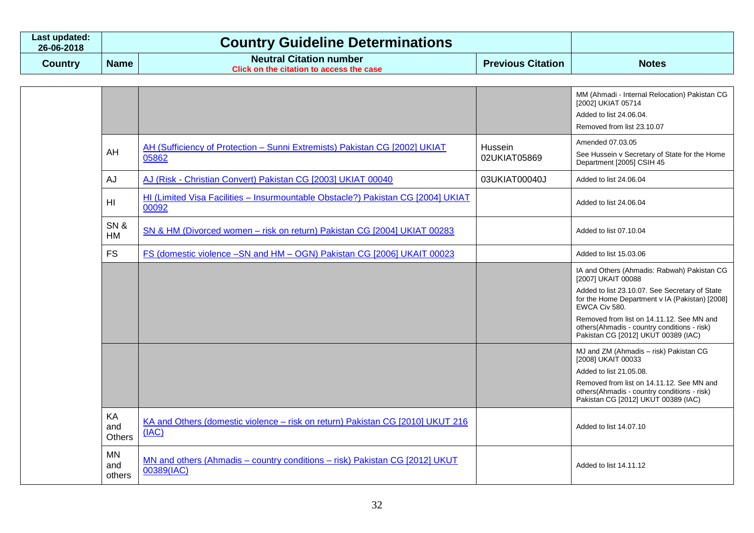| Last updated:<br>26-06-2018 |             | <b>Country Guideline Determinations</b>                                    |                          |              |
|-----------------------------|-------------|----------------------------------------------------------------------------|--------------------------|--------------|
| Country                     | <b>Name</b> | <b>Neutral Citation number</b><br>Click on the citation to access the case | <b>Previous Citation</b> | <b>Notes</b> |

|                            |                                                                                           |                         | MM (Ahmadi - Internal Relocation) Pakistan CG<br>[2002] UKIAT 05714<br>Added to list 24.06.04.<br>Removed from list 23.10.07                                                                                                        |
|----------------------------|-------------------------------------------------------------------------------------------|-------------------------|-------------------------------------------------------------------------------------------------------------------------------------------------------------------------------------------------------------------------------------|
| AH                         | AH (Sufficiency of Protection - Sunni Extremists) Pakistan CG [2002] UKIAT<br>05862       | Hussein<br>02UKIAT05869 | Amended 07.03.05<br>See Hussein v Secretary of State for the Home<br>Department [2005] CSIH 45                                                                                                                                      |
| <b>AJ</b>                  | AJ (Risk - Christian Convert) Pakistan CG [2003] UKIAT 00040                              | 03UKIAT00040J           | Added to list 24.06.04                                                                                                                                                                                                              |
| HI                         | HI (Limited Visa Facilities - Insurmountable Obstacle?) Pakistan CG [2004] UKIAT<br>00092 |                         | Added to list 24.06.04                                                                                                                                                                                                              |
| SN&<br>HM                  | SN & HM (Divorced women - risk on return) Pakistan CG [2004] UKIAT 00283                  |                         | Added to list 07.10.04                                                                                                                                                                                                              |
| <b>FS</b>                  | FS (domestic violence -SN and HM - OGN) Pakistan CG [2006] UKAIT 00023                    |                         | Added to list 15.03.06                                                                                                                                                                                                              |
|                            |                                                                                           |                         | IA and Others (Ahmadis: Rabwah) Pakistan CG<br>[2007] UKAIT 00088<br>Added to list 23.10.07. See Secretary of State<br>for the Home Department v IA (Pakistan) [2008]<br>EWCA Civ 580.<br>Removed from list on 14.11.12. See MN and |
|                            |                                                                                           |                         | others(Ahmadis - country conditions - risk)<br>Pakistan CG [2012] UKUT 00389 (IAC)                                                                                                                                                  |
|                            |                                                                                           |                         | MJ and ZM (Ahmadis - risk) Pakistan CG<br>[2008] UKAIT 00033                                                                                                                                                                        |
|                            |                                                                                           |                         | Added to list 21,05,08.<br>Removed from list on 14.11.12. See MN and<br>others(Ahmadis - country conditions - risk)<br>Pakistan CG [2012] UKUT 00389 (IAC)                                                                          |
| KA<br>and<br><b>Others</b> | KA and Others (domestic violence - risk on return) Pakistan CG [2010] UKUT 216<br>(IAC)   |                         | Added to list 14.07.10                                                                                                                                                                                                              |
| <b>MN</b><br>and<br>others | MN and others (Ahmadis - country conditions - risk) Pakistan CG [2012] UKUT<br>00389(IAC) |                         | Added to list 14.11.12                                                                                                                                                                                                              |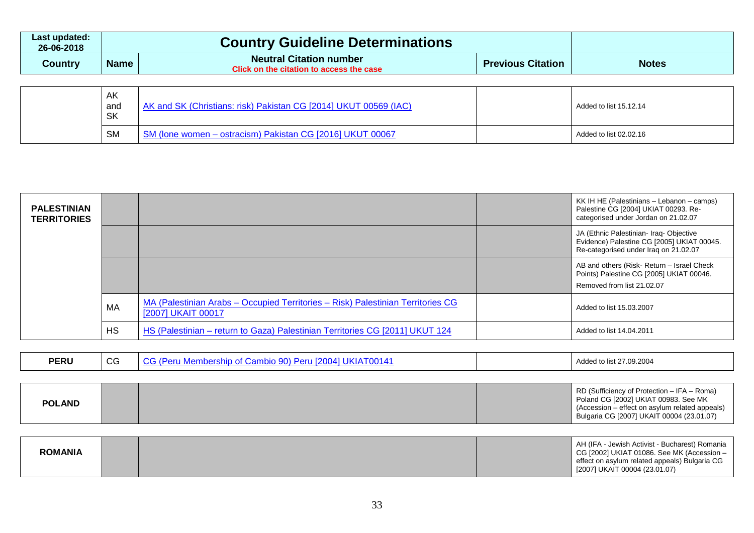| Last updated:<br>26-06-2018 |             | <b>Country Guideline Determinations</b>                                    |                          |              |
|-----------------------------|-------------|----------------------------------------------------------------------------|--------------------------|--------------|
| Country                     | <b>Name</b> | <b>Neutral Citation number</b><br>Click on the citation to access the case | <b>Previous Citation</b> | <b>Notes</b> |

| AK<br>and<br><b>SK</b> | AK and SK (Christians: risk) Pakistan CG [2014] UKUT 00569 (IAC) | Added to list 15.12.14 |
|------------------------|------------------------------------------------------------------|------------------------|
| <b>SM</b>              | SM (Ione women - ostracism) Pakistan CG [2016] UKUT 00067        | Added to list 02.02.16 |

| <b>PALESTINIAN</b><br><b>TERRITORIES</b> |           |                                                                                                       | KK IH HE (Palestinians - Lebanon - camps)<br>Palestine CG [2004] UKIAT 00293. Re-<br>categorised under Jordan on 21.02.07      |
|------------------------------------------|-----------|-------------------------------------------------------------------------------------------------------|--------------------------------------------------------------------------------------------------------------------------------|
|                                          |           |                                                                                                       | JA (Ethnic Palestinian- Iraq- Objective<br>Evidence) Palestine CG [2005] UKIAT 00045.<br>Re-categorised under Iraq on 21.02.07 |
|                                          |           |                                                                                                       | AB and others (Risk-Return - Israel Check<br>Points) Palestine CG [2005] UKIAT 00046.<br>Removed from list 21,02,07            |
|                                          | МA        | MA (Palestinian Arabs - Occupied Territories - Risk) Palestinian Territories CG<br>[2007] UKAIT 00017 | Added to list 15.03.2007                                                                                                       |
|                                          | <b>HS</b> | HS (Palestinian – return to Gaza) Palestinian Territories CG [2011] UKUT 124                          | Added to list 14.04.2011                                                                                                       |

| <b>PERU</b> | $\sim$<br>UJ. | .<br>$\sim$<br>100 Q<br>- 12<br>ının<br>1.10014<br>. . |  | d to list 27.09.2004<br>Addea |
|-------------|---------------|--------------------------------------------------------|--|-------------------------------|
|-------------|---------------|--------------------------------------------------------|--|-------------------------------|

| <b>POLAND</b> | RD (Sufficiency of Protection – IFA – Roma)<br>Poland CG [2002] UKIAT 00983. See MK<br>(Accession – effect on asylum related appeals)<br>Bulgaria CG [2007] UKAIT 00004 (23.01.07) |
|---------------|------------------------------------------------------------------------------------------------------------------------------------------------------------------------------------|
|---------------|------------------------------------------------------------------------------------------------------------------------------------------------------------------------------------|

| <b>ROMANIA</b> |  | AH (IFA - Jewish Activist - Bucharest) Romania<br>CG [2002] UKIAT 01086. See MK (Accession -<br>effect on asylum related appeals) Bulgaria CG<br>[2007] UKAIT 00004 (23.01.07) |
|----------------|--|--------------------------------------------------------------------------------------------------------------------------------------------------------------------------------|
|                |  |                                                                                                                                                                                |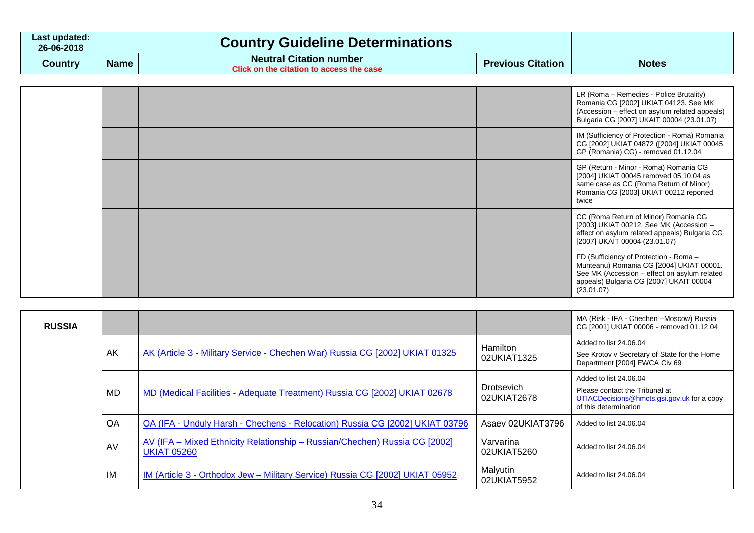| Last updated:<br>26-06-2018 |             | <b>Country Guideline Determinations</b>                                    |                          |              |
|-----------------------------|-------------|----------------------------------------------------------------------------|--------------------------|--------------|
| Country                     | <b>Name</b> | <b>Neutral Citation number</b><br>Click on the citation to access the case | <b>Previous Citation</b> | <b>Notes</b> |

|  |  | LR (Roma – Remedies - Police Brutality)<br>Romania CG [2002] UKIAT 04123. See MK<br>(Accession – effect on asylum related appeals)<br>Bulgaria CG [2007] UKAIT 00004 (23.01.07)             |
|--|--|---------------------------------------------------------------------------------------------------------------------------------------------------------------------------------------------|
|  |  | IM (Sufficiency of Protection - Roma) Romania<br>CG [2002] UKIAT 04872 ([2004] UKIAT 00045<br>GP (Romania) CG) - removed 01.12.04                                                           |
|  |  | GP (Return - Minor - Roma) Romania CG<br>[2004] UKIAT 00045 removed 05.10.04 as<br>same case as CC (Roma Return of Minor)<br>Romania CG [2003] UKIAT 00212 reported<br>twice                |
|  |  | CC (Roma Return of Minor) Romania CG<br>[2003] UKIAT 00212. See MK (Accession -<br>effect on asylum related appeals) Bulgaria CG<br>[2007] UKAIT 00004 (23.01.07)                           |
|  |  | FD (Sufficiency of Protection - Roma -<br>Munteanu) Romania CG [2004] UKIAT 00001.<br>See MK (Accession - effect on asylum related<br>appeals) Bulgaria CG [2007] UKAIT 00004<br>(23.01.07) |

| <b>RUSSIA</b> |           |                                                                                                  |                                  | MA (Risk - IFA - Chechen - Moscow) Russia<br>CG [2001] UKIAT 00006 - removed 01.12.04                                           |
|---------------|-----------|--------------------------------------------------------------------------------------------------|----------------------------------|---------------------------------------------------------------------------------------------------------------------------------|
|               | AK        | AK (Article 3 - Military Service - Chechen War) Russia CG [2002] UKIAT 01325                     | Hamilton<br>02UKIAT1325          | Added to list 24.06.04<br>See Krotov v Secretary of State for the Home<br>Department [2004] EWCA Civ 69                         |
|               | MD        | MD (Medical Facilities - Adequate Treatment) Russia CG [2002] UKIAT 02678                        | <b>Drotsevich</b><br>02UKIAT2678 | Added to list 24.06.04<br>Please contact the Tribunal at<br>UTIACDecisions@hmcts.gsi.gov.uk for a copy<br>of this determination |
|               | <b>OA</b> | OA (IFA - Unduly Harsh - Chechens - Relocation) Russia CG [2002] UKIAT 03796                     | Asaev 02UKIAT3796                | Added to list 24.06.04                                                                                                          |
|               | AV        | AV (IFA – Mixed Ethnicity Relationship – Russian/Chechen) Russia CG [2002]<br><b>UKIAT 05260</b> | Varvarina<br>02UKIAT5260         | Added to list 24.06.04                                                                                                          |
|               | IM        | IM (Article 3 - Orthodox Jew – Military Service) Russia CG [2002] UKIAT 05952                    | Malyutin<br>02UKIAT5952          | Added to list 24.06.04                                                                                                          |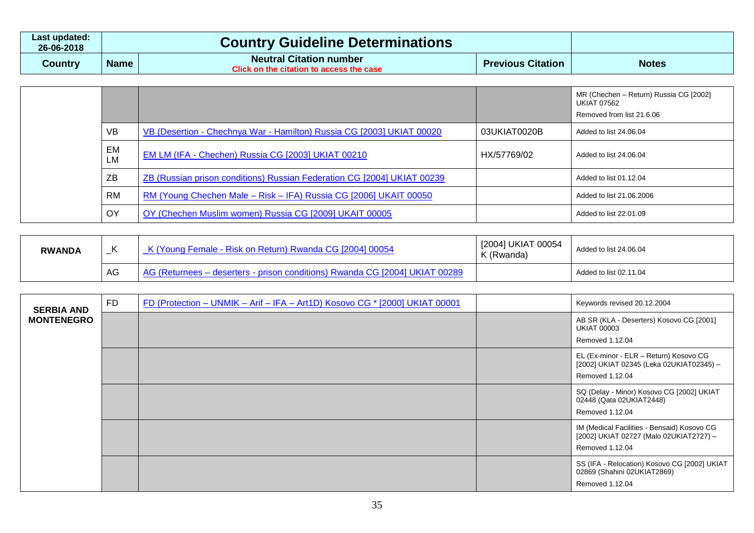| Last updated:<br>26-06-2018 | <b>Country Guideline Determinations</b> |                                                                                   |                          |              |
|-----------------------------|-----------------------------------------|-----------------------------------------------------------------------------------|--------------------------|--------------|
| Country                     | <b>Name</b>                             | <b>Neutral Citation number</b><br><b>Click on the citation to access the case</b> | <b>Previous Citation</b> | <b>Notes</b> |

|          |                                                                         |              | MR (Chechen - Return) Russia CG [2002]<br><b>UKIAT 07562</b><br>Removed from list 21.6.06 |
|----------|-------------------------------------------------------------------------|--------------|-------------------------------------------------------------------------------------------|
| VB       | VB (Desertion - Chechnya War - Hamilton) Russia CG [2003] UKIAT 00020   | 03UKIAT0020B | Added to list 24.06.04                                                                    |
| EM<br>LM | EM LM (IFA - Chechen) Russia CG [2003] UKIAT 00210                      | HX/57769/02  | Added to list 24.06.04                                                                    |
| ΖB       | ZB (Russian prison conditions) Russian Federation CG [2004] UKIAT 00239 |              | Added to list 01.12.04                                                                    |
| RM       | RM (Young Chechen Male - Risk - IFA) Russia CG [2006] UKAIT 00050       |              | Added to list 21.06.2006                                                                  |
| OY       | OY (Chechen Muslim women) Russia CG [2009] UKAIT 00005                  |              | Added to list 22.01.09                                                                    |

| <b>RWANDA</b> | <u>— т</u> | Female - Risk on Return) Rwanda CG [2004] 00054<br>'ouna                 | [2004] UKIAT 00054<br>K (Rwanda) | Added to list 24.06.04 |
|---------------|------------|--------------------------------------------------------------------------|----------------------------------|------------------------|
|               | AG         | (Returnees – deserters - prison conditions) Rwanda CG [2004] UKIAT 00289 |                                  | Added to list 02.11.04 |

| <b>SERBIA AND</b> | <b>FD</b> | <u>FD (Protection – UNMIK – Arif – IFA – Art1D) Kosovo CG * [2000] UKIAT 00001</u> | Keywords revised 20.12.2004                                                                               |
|-------------------|-----------|------------------------------------------------------------------------------------|-----------------------------------------------------------------------------------------------------------|
| <b>MONTENEGRO</b> |           |                                                                                    | AB SR (KLA - Deserters) Kosovo CG [2001]<br><b>UKIAT 00003</b><br>Removed 1.12.04                         |
|                   |           |                                                                                    | EL (Ex-minor - ELR - Return) Kosovo CG<br>[2002] UKIAT 02345 (Leka 02UKIAT02345) -<br>Removed 1.12.04     |
|                   |           |                                                                                    | SQ (Delay - Minor) Kosovo CG [2002] UKIAT<br>02448 (Qata 02UKIAT2448)<br>Removed 1.12.04                  |
|                   |           |                                                                                    | IM (Medical Facilities - Bensaid) Kosovo CG<br>[2002] UKIAT 02727 (Malo 02UKIAT2727) -<br>Removed 1.12.04 |
|                   |           |                                                                                    | SS (IFA - Relocation) Kosovo CG [2002] UKIAT<br>02869 (Shahini 02UKIAT2869)<br>Removed 1.12.04            |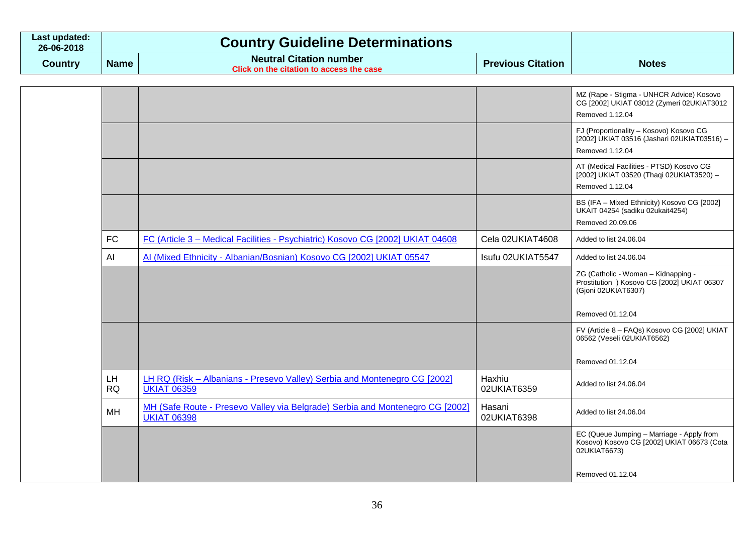| ∟ast updated: I<br>26-06-2018 |             | <b>Country Guideline Determinations</b>                                                        |                          |              |
|-------------------------------|-------------|------------------------------------------------------------------------------------------------|--------------------------|--------------|
| Country                       | <b>Name</b> | <b>Neutral Citation number</b><br>$\degree$ Click on the citation to access the case $\degree$ | <b>Previous Citation</b> | <b>Notes</b> |

|                        |                                                                                                     |                       | MZ (Rape - Stigma - UNHCR Advice) Kosovo<br>CG [2002] UKIAT 03012 (Zymeri 02UKIAT3012<br>Removed 1.12.04  |
|------------------------|-----------------------------------------------------------------------------------------------------|-----------------------|-----------------------------------------------------------------------------------------------------------|
|                        |                                                                                                     |                       | FJ (Proportionality - Kosovo) Kosovo CG<br>[2002] UKIAT 03516 (Jashari 02UKIAT03516) -<br>Removed 1.12.04 |
|                        |                                                                                                     |                       | AT (Medical Facilities - PTSD) Kosovo CG<br>[2002] UKIAT 03520 (Thaqi 02UKIAT3520) -<br>Removed 1.12.04   |
|                        |                                                                                                     |                       | BS (IFA - Mixed Ethnicity) Kosovo CG [2002]<br>UKAIT 04254 (sadiku 02ukait4254)<br>Removed 20.09.06       |
| <b>FC</b>              | FC (Article 3 - Medical Facilities - Psychiatric) Kosovo CG [2002] UKIAT 04608                      | Cela 02UKIAT4608      | Added to list 24.06.04                                                                                    |
| AI                     | Al (Mixed Ethnicity - Albanian/Bosnian) Kosovo CG [2002] UKIAT 05547                                | Isufu 02UKIAT5547     | Added to list 24.06.04                                                                                    |
|                        |                                                                                                     |                       | ZG (Catholic - Woman - Kidnapping -<br>Prostitution ) Kosovo CG [2002] UKIAT 06307<br>(Gjoni 02UKIAT6307) |
|                        |                                                                                                     |                       | Removed 01.12.04                                                                                          |
|                        |                                                                                                     |                       | FV (Article 8 - FAQs) Kosovo CG [2002] UKIAT<br>06562 (Veseli 02UKIAT6562)                                |
|                        |                                                                                                     |                       | Removed 01.12.04                                                                                          |
| <b>LH</b><br><b>RQ</b> | LH RQ (Risk - Albanians - Presevo Valley) Serbia and Montenegro CG [2002]<br><b>UKIAT 06359</b>     | Haxhiu<br>02UKIAT6359 | Added to list 24.06.04                                                                                    |
| MH                     | MH (Safe Route - Presevo Valley via Belgrade) Serbia and Montenegro CG [2002]<br><b>UKIAT 06398</b> | Hasani<br>02UKIAT6398 | Added to list 24.06.04                                                                                    |
|                        |                                                                                                     |                       | EC (Queue Jumping - Marriage - Apply from<br>Kosovo) Kosovo CG [2002] UKIAT 06673 (Cota<br>02UKIAT6673)   |
|                        |                                                                                                     |                       | Removed 01.12.04                                                                                          |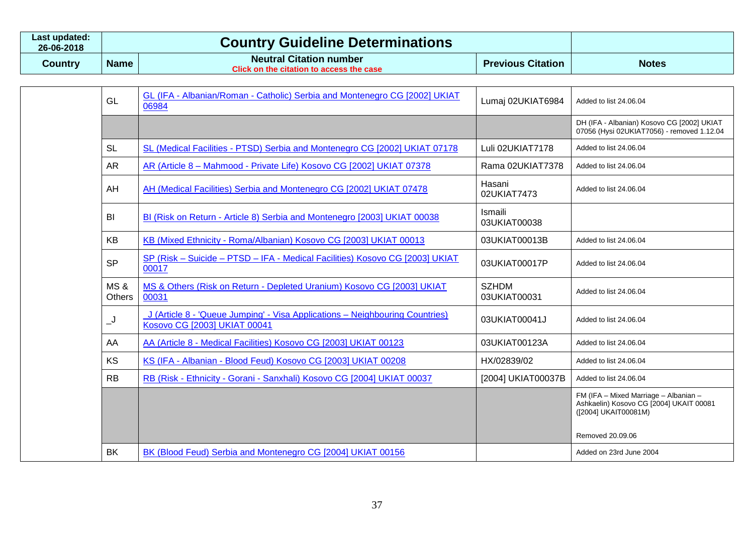| Last updated:<br>26-06-2018 |             | <b>Country Guideline Determinations</b>                                    |                          |              |
|-----------------------------|-------------|----------------------------------------------------------------------------|--------------------------|--------------|
| Country                     | <b>Name</b> | <b>Neutral Citation number</b><br>Click on the citation to access the case | <b>Previous Citation</b> | <b>Notes</b> |

| GL                              | GL (IFA - Albanian/Roman - Catholic) Serbia and Montenegro CG [2002] UKIAT<br>06984                          | Lumaj 02UKIAT6984            | Added to list 24.06.04                                                                                                       |
|---------------------------------|--------------------------------------------------------------------------------------------------------------|------------------------------|------------------------------------------------------------------------------------------------------------------------------|
|                                 |                                                                                                              |                              | DH (IFA - Albanian) Kosovo CG [2002] UKIAT<br>07056 (Hysi 02UKIAT7056) - removed 1.12.04                                     |
| SL                              | SL (Medical Facilities - PTSD) Serbia and Montenegro CG [2002] UKIAT 07178                                   | Luli 02UKIAT7178             | Added to list 24.06.04                                                                                                       |
| <b>AR</b>                       | AR (Article 8 - Mahmood - Private Life) Kosovo CG [2002] UKIAT 07378                                         | Rama 02UKIAT7378             | Added to list 24.06.04                                                                                                       |
| AH                              | AH (Medical Facilities) Serbia and Montenegro CG [2002] UKIAT 07478                                          | Hasani<br>02UKIAT7473        | Added to list 24.06.04                                                                                                       |
| BI                              | BI (Risk on Return - Article 8) Serbia and Montenegro [2003] UKIAT 00038                                     | Ismaili<br>03UKIAT00038      |                                                                                                                              |
| <b>KB</b>                       | KB (Mixed Ethnicity - Roma/Albanian) Kosovo CG [2003] UKIAT 00013                                            | 03UKIAT00013B                | Added to list 24.06.04                                                                                                       |
| <b>SP</b>                       | SP (Risk - Suicide - PTSD - IFA - Medical Facilities) Kosovo CG [2003] UKIAT<br>00017                        | 03UKIAT00017P                | Added to list 24.06.04                                                                                                       |
| <b>MS&amp;</b><br><b>Others</b> | MS & Others (Risk on Return - Depleted Uranium) Kosovo CG [2003] UKIAT<br>00031                              | <b>SZHDM</b><br>03UKIAT00031 | Added to list 24.06.04                                                                                                       |
| <u>ل_</u>                       | J (Article 8 - 'Queue Jumping' - Visa Applications - Neighbouring Countries)<br>Kosovo CG [2003] UKIAT 00041 | 03UKIAT00041J                | Added to list 24.06.04                                                                                                       |
| AA                              | AA (Article 8 - Medical Facilities) Kosovo CG [2003] UKIAT 00123                                             | 03UKIAT00123A                | Added to list 24.06.04                                                                                                       |
| <b>KS</b>                       | KS (IFA - Albanian - Blood Feud) Kosovo CG [2003] UKIAT 00208                                                | HX/02839/02                  | Added to list 24.06.04                                                                                                       |
| RB                              | RB (Risk - Ethnicity - Gorani - Sanxhali) Kosovo CG [2004] UKIAT 00037                                       | [2004] UKIAT00037B           | Added to list 24.06.04                                                                                                       |
|                                 |                                                                                                              |                              | FM (IFA - Mixed Marriage - Albanian -<br>Ashkaelin) Kosovo CG [2004] UKAIT 00081<br>([2004] UKAIT00081M)<br>Removed 20.09.06 |
| BK                              | BK (Blood Feud) Serbia and Montenegro CG [2004] UKIAT 00156                                                  |                              | Added on 23rd June 2004                                                                                                      |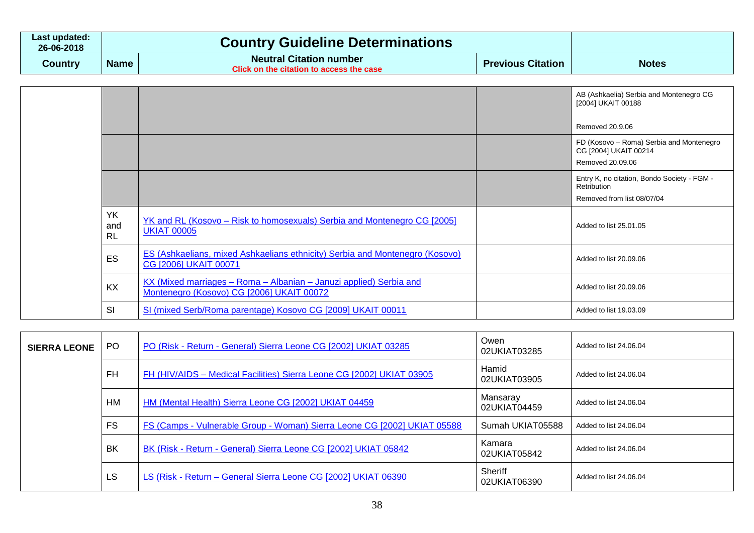| Last updated:<br>26-06-2018 |             | <b>Country Guideline Determinations</b>                                                        |                          |              |
|-----------------------------|-------------|------------------------------------------------------------------------------------------------|--------------------------|--------------|
| Country                     | <b>Name</b> | <b>Neutral Citation number</b><br>$\degree$ Click on the citation to access the case $\degree$ | <b>Previous Citation</b> | <b>Notes</b> |

|                               |                                                                                                                 | AB (Ashkaelia) Serbia and Montenegro CG<br>[2004] UKAIT 00188                            |
|-------------------------------|-----------------------------------------------------------------------------------------------------------------|------------------------------------------------------------------------------------------|
|                               |                                                                                                                 | Removed 20.9.06                                                                          |
|                               |                                                                                                                 | FD (Kosovo - Roma) Serbia and Montenegro<br>CG [2004] UKAIT 00214<br>Removed 20.09.06    |
|                               |                                                                                                                 | Entry K, no citation, Bondo Society - FGM -<br>Retribution<br>Removed from list 08/07/04 |
| <b>YK</b><br>and<br><b>RL</b> | <u>YK and RL (Kosovo – Risk to homosexuals) Serbia and Montenegro CG [2005]</u><br><b>UKIAT 00005</b>           | Added to list 25.01.05                                                                   |
| ES                            | ES (Ashkaelians, mixed Ashkaelians ethnicity) Serbia and Montenegro (Kosovo)<br>CG [2006] UKAIT 00071           | Added to list 20.09.06                                                                   |
| KX                            | KX (Mixed marriages - Roma - Albanian - Januzi applied) Serbia and<br>Montenegro (Kosovo) CG [2006] UKAIT 00072 | Added to list 20.09.06                                                                   |
| SI                            | SI (mixed Serb/Roma parentage) Kosovo CG [2009] UKAIT 00011                                                     | Added to list 19.03.09                                                                   |

| <b>SIERRA LEONE</b> | PO.       | PO (Risk - Return - General) Sierra Leone CG [2002] UKIAT 03285          | Owen<br>02UKIAT03285     | Added to list 24.06.04 |
|---------------------|-----------|--------------------------------------------------------------------------|--------------------------|------------------------|
|                     | <b>FH</b> | FH (HIV/AIDS - Medical Facilities) Sierra Leone CG [2002] UKIAT 03905    | Hamid<br>02UKIAT03905    | Added to list 24,06,04 |
|                     | HM        | HM (Mental Health) Sierra Leone CG [2002] UKIAT 04459                    | Mansaray<br>02UKIAT04459 | Added to list 24.06.04 |
|                     | <b>FS</b> | FS (Camps - Vulnerable Group - Woman) Sierra Leone CG [2002] UKIAT 05588 | Sumah UKIAT05588         | Added to list 24.06.04 |
|                     | BK        | BK (Risk - Return - General) Sierra Leone CG [2002] UKIAT 05842          | Kamara<br>02UKIAT05842   | Added to list 24.06.04 |
|                     | LS.       | LS (Risk - Return - General Sierra Leone CG [2002] UKIAT 06390           | Sheriff<br>02UKIAT06390  | Added to list 24.06.04 |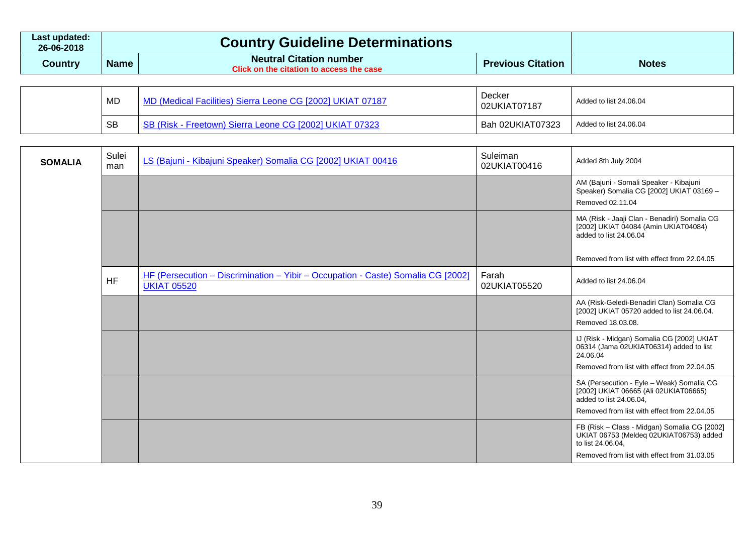| Last updated:<br>26-06-2018 |             | <b>Country Guideline Determinations</b>                                    |                          |              |
|-----------------------------|-------------|----------------------------------------------------------------------------|--------------------------|--------------|
| Country                     | <b>Name</b> | <b>Neutral Citation number</b><br>Click on the citation to access the case | <b>Previous Citation</b> | <b>Notes</b> |
|                             |             |                                                                            |                          |              |

| MD        | MD (Medical Facilities) Sierra Leone CG [2002] UKIAT 07187 | Decker<br>02UKIAT07187 | Added to list 24.06.04 |
|-----------|------------------------------------------------------------|------------------------|------------------------|
| <b>SB</b> | SB (Risk - Freetown) Sierra Leone CG [2002] UKIAT 07323    | Bah 02UKIAT07323       | Added to list 24.06.04 |

| <b>SOMALIA</b> | Sulei<br>man | LS (Bajuni - Kibajuni Speaker) Somalia CG [2002] UKIAT 00416                                           | Suleiman<br>02UKIAT00416 | Added 8th July 2004                                                                                                                                          |
|----------------|--------------|--------------------------------------------------------------------------------------------------------|--------------------------|--------------------------------------------------------------------------------------------------------------------------------------------------------------|
|                |              |                                                                                                        |                          | AM (Bajuni - Somali Speaker - Kibajuni<br>Speaker) Somalia CG [2002] UKIAT 03169 -<br>Removed 02.11.04                                                       |
|                |              |                                                                                                        |                          | MA (Risk - Jaaji Clan - Benadiri) Somalia CG<br>[2002] UKIAT 04084 (Amin UKIAT04084)<br>added to list 24.06.04                                               |
|                |              |                                                                                                        |                          | Removed from list with effect from 22.04.05                                                                                                                  |
|                | <b>HF</b>    | HF (Persecution - Discrimination - Yibir - Occupation - Caste) Somalia CG [2002]<br><b>UKIAT 05520</b> | Farah<br>02UKIAT05520    | Added to list 24.06.04                                                                                                                                       |
|                |              |                                                                                                        |                          | AA (Risk-Geledi-Benadiri Clan) Somalia CG<br>[2002] UKIAT 05720 added to list 24.06.04.<br>Removed 18.03.08.                                                 |
|                |              |                                                                                                        |                          | IJ (Risk - Midgan) Somalia CG [2002] UKIAT<br>06314 (Jama 02UKIAT06314) added to list<br>24.06.04<br>Removed from list with effect from 22.04.05             |
|                |              |                                                                                                        |                          | SA (Persecution - Eyle - Weak) Somalia CG<br>[2002] UKIAT 06665 (Ali 02UKIAT06665)<br>added to list 24.06.04,<br>Removed from list with effect from 22.04.05 |
|                |              |                                                                                                        |                          | FB (Risk - Class - Midgan) Somalia CG [2002]<br>UKIAT 06753 (Meldeq 02UKIAT06753) added<br>to list 24.06.04,<br>Removed from list with effect from 31,03,05  |
|                |              |                                                                                                        |                          |                                                                                                                                                              |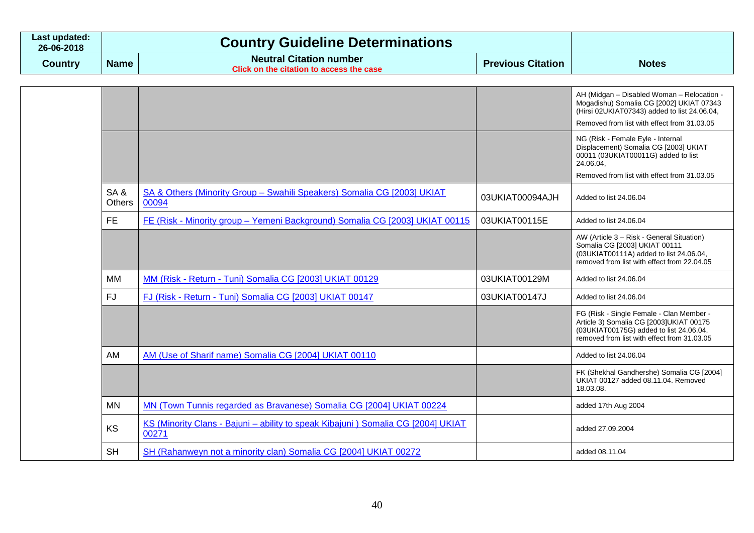| Last updated:<br>26-06-2018 |             | <b>Country Guideline Determinations</b>                                           |                          |              |
|-----------------------------|-------------|-----------------------------------------------------------------------------------|--------------------------|--------------|
| Country                     | <b>Name</b> | <b>Neutral Citation number</b><br><b>Click on the citation to access the case</b> | <b>Previous Citation</b> | <b>Notes</b> |

|               |                                                                                           |                 | AH (Midgan - Disabled Woman - Relocation -<br>Mogadishu) Somalia CG [2002] UKIAT 07343<br>(Hirsi 02UKIAT07343) added to list 24.06.04,                                        |
|---------------|-------------------------------------------------------------------------------------------|-----------------|-------------------------------------------------------------------------------------------------------------------------------------------------------------------------------|
|               |                                                                                           |                 | Removed from list with effect from 31.03.05                                                                                                                                   |
|               |                                                                                           |                 | NG (Risk - Female Eyle - Internal<br>Displacement) Somalia CG [2003] UKIAT<br>00011 (03UKIAT00011G) added to list<br>24.06.04,                                                |
|               |                                                                                           |                 | Removed from list with effect from 31.03.05                                                                                                                                   |
| SA&<br>Others | SA & Others (Minority Group - Swahili Speakers) Somalia CG [2003] UKIAT<br>00094          | 03UKIAT00094AJH | Added to list 24,06,04                                                                                                                                                        |
| <b>FE</b>     | FE (Risk - Minority group - Yemeni Background) Somalia CG [2003] UKIAT 00115              | 03UKIAT00115E   | Added to list 24.06.04                                                                                                                                                        |
|               |                                                                                           |                 | AW (Article 3 - Risk - General Situation)<br>Somalia CG [2003] UKIAT 00111<br>(03UKIAT00111A) added to list 24.06.04,<br>removed from list with effect from 22.04.05          |
| MМ            | MM (Risk - Return - Tuni) Somalia CG [2003] UKIAT 00129                                   | 03UKIAT00129M   | Added to list 24.06.04                                                                                                                                                        |
| <b>FJ</b>     | FJ (Risk - Return - Tuni) Somalia CG [2003] UKIAT 00147                                   | 03UKIAT00147J   | Added to list 24.06.04                                                                                                                                                        |
|               |                                                                                           |                 | FG (Risk - Single Female - Clan Member -<br>Article 3) Somalia CG [2003]UKIAT 00175<br>(03UKIAT00175G) added to list 24.06.04,<br>removed from list with effect from 31,03,05 |
| AM            | AM (Use of Sharif name) Somalia CG [2004] UKIAT 00110                                     |                 | Added to list 24.06.04                                                                                                                                                        |
|               |                                                                                           |                 | FK (Shekhal Gandhershe) Somalia CG [2004]<br>UKIAT 00127 added 08.11.04. Removed<br>18.03.08.                                                                                 |
| <b>MN</b>     | MN (Town Tunnis regarded as Bravanese) Somalia CG [2004] UKIAT 00224                      |                 | added 17th Aug 2004                                                                                                                                                           |
| <b>KS</b>     | KS (Minority Clans - Bajuni - ability to speak Kibajuni) Somalia CG [2004] UKIAT<br>00271 |                 | added 27.09.2004                                                                                                                                                              |
| <b>SH</b>     | SH (Rahanweyn not a minority clan) Somalia CG [2004] UKIAT 00272                          |                 | added 08.11.04                                                                                                                                                                |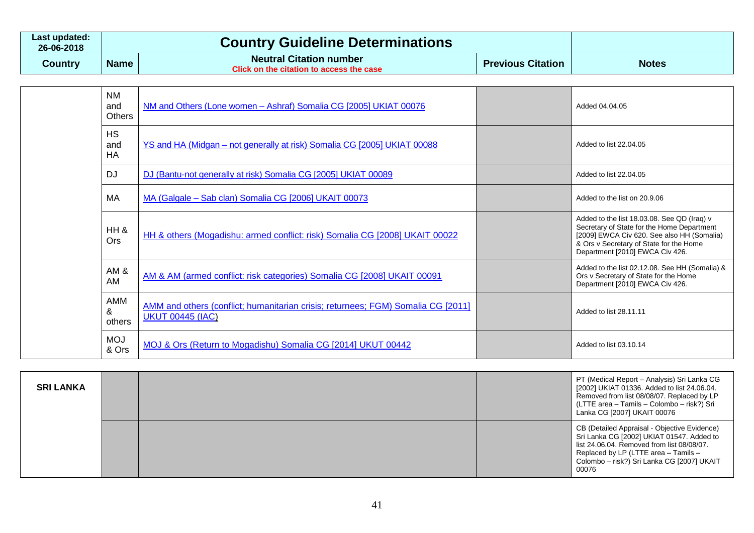| Last updated:<br>26-06-2018 |             | <b>Country Guideline Determinations</b>                                           |                          |              |
|-----------------------------|-------------|-----------------------------------------------------------------------------------|--------------------------|--------------|
| Country                     | <b>Name</b> | <b>Neutral Citation number</b><br><b>Click on the citation to access the case</b> | <b>Previous Citation</b> | <b>Notes</b> |

| <b>NM</b><br>and<br><b>Others</b> | NM and Others (Lone women - Ashraf) Somalia CG [2005] UKIAT 00076                                           | Added 04.04.05                                                                                                                                                                                                        |
|-----------------------------------|-------------------------------------------------------------------------------------------------------------|-----------------------------------------------------------------------------------------------------------------------------------------------------------------------------------------------------------------------|
| <b>HS</b><br>and<br>HA            | YS and HA (Midgan - not generally at risk) Somalia CG [2005] UKIAT 00088                                    | Added to list 22,04.05                                                                                                                                                                                                |
| <b>DJ</b>                         | DJ (Bantu-not generally at risk) Somalia CG [2005] UKIAT 00089                                              | Added to list 22,04,05                                                                                                                                                                                                |
| MA                                | MA (Galgale – Sab clan) Somalia CG [2006] UKAIT 00073                                                       | Added to the list on 20.9.06                                                                                                                                                                                          |
| HH &<br>Ors                       | HH & others (Mogadishu: armed conflict: risk) Somalia CG [2008] UKAIT 00022                                 | Added to the list 18.03.08. See QD (Iraq) v<br>Secretary of State for the Home Department<br>[2009] EWCA Civ 620. See also HH (Somalia)<br>& Ors v Secretary of State for the Home<br>Department [2010] EWCA Civ 426. |
| AM&<br><b>AM</b>                  | AM & AM (armed conflict: risk categories) Somalia CG [2008] UKAIT 00091                                     | Added to the list 02.12.08. See HH (Somalia) &<br>Ors v Secretary of State for the Home<br>Department [2010] EWCA Civ 426.                                                                                            |
| AMM<br>&<br>others                | AMM and others (conflict; humanitarian crisis; returnees; FGM) Somalia CG [2011]<br><b>UKUT 00445 (IAC)</b> | Added to list 28.11.11                                                                                                                                                                                                |
| <b>MOJ</b><br>& Ors               | MOJ & Ors (Return to Mogadishu) Somalia CG [2014] UKUT 00442                                                | Added to list 03.10.14                                                                                                                                                                                                |

| <b>SRI LANKA</b> |  | PT (Medical Report - Analysis) Sri Lanka CG<br>[2002] UKIAT 01336. Added to list 24.06.04.<br>Removed from list 08/08/07. Replaced by LP<br>(LTTE area - Tamils - Colombo - risk?) Sri<br>Lanka CG [2007] UKAIT 00076                  |
|------------------|--|----------------------------------------------------------------------------------------------------------------------------------------------------------------------------------------------------------------------------------------|
|                  |  | CB (Detailed Appraisal - Objective Evidence)<br>Sri Lanka CG [2002] UKIAT 01547. Added to<br>list 24.06.04. Removed from list 08/08/07.<br>Replaced by LP (LTTE area - Tamils -<br>Colombo - risk?) Sri Lanka CG [2007] UKAIT<br>00076 |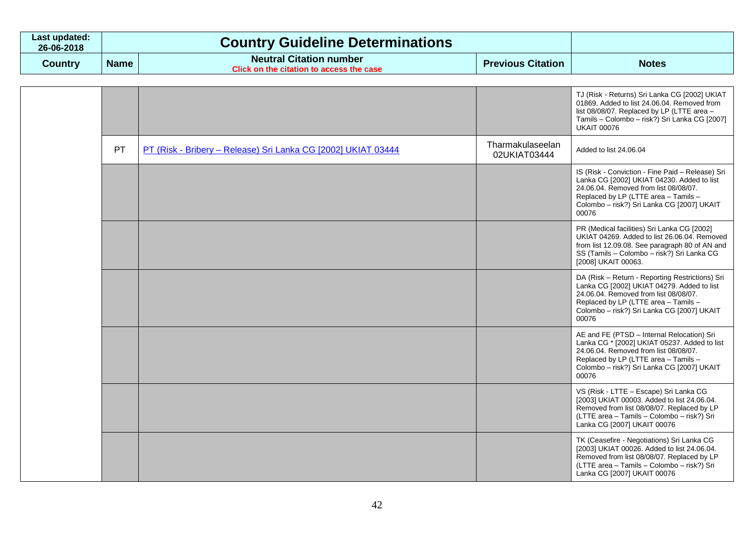| Last updated:<br>26-06-2018 | <b>Country Guideline Determinations</b> |                                                                                   |                          |              |
|-----------------------------|-----------------------------------------|-----------------------------------------------------------------------------------|--------------------------|--------------|
| Country                     | <b>Name</b>                             | <b>Neutral Citation number</b><br><b>Click on the citation to access the case</b> | <b>Previous Citation</b> | <b>Notes</b> |

|  |    |                                                               |                                  | TJ (Risk - Returns) Sri Lanka CG [2002] UKIAT<br>01869. Added to list 24.06.04. Removed from<br>list 08/08/07. Replaced by LP (LTTE area -<br>Tamils - Colombo - risk?) Sri Lanka CG [2007]<br><b>UKAIT 00076</b>                      |
|--|----|---------------------------------------------------------------|----------------------------------|----------------------------------------------------------------------------------------------------------------------------------------------------------------------------------------------------------------------------------------|
|  | PT | PT (Risk - Bribery - Release) Sri Lanka CG [2002] UKIAT 03444 | Tharmakulaseelan<br>02UKIAT03444 | Added to list 24.06.04                                                                                                                                                                                                                 |
|  |    |                                                               |                                  | IS (Risk - Conviction - Fine Paid - Release) Sri<br>Lanka CG [2002] UKIAT 04230. Added to list<br>24.06.04. Removed from list 08/08/07.<br>Replaced by LP (LTTE area - Tamils -<br>Colombo - risk?) Sri Lanka CG [2007] UKAIT<br>00076 |
|  |    |                                                               |                                  | PR (Medical facilities) Sri Lanka CG [2002]<br>UKIAT 04269. Added to list 26.06.04. Removed<br>from list 12.09.08. See paragraph 80 of AN and<br>SS (Tamils - Colombo - risk?) Sri Lanka CG<br>[2008] UKAIT 00063.                     |
|  |    |                                                               |                                  | DA (Risk - Return - Reporting Restrictions) Sri<br>Lanka CG [2002] UKIAT 04279. Added to list<br>24.06.04. Removed from list 08/08/07.<br>Replaced by LP (LTTE area - Tamils -<br>Colombo - risk?) Sri Lanka CG [2007] UKAIT<br>00076  |
|  |    |                                                               |                                  | AE and FE (PTSD - Internal Relocation) Sri<br>Lanka CG * [2002] UKIAT 05237. Added to list<br>24.06.04. Removed from list 08/08/07.<br>Replaced by LP (LTTE area - Tamils -<br>Colombo - risk?) Sri Lanka CG [2007] UKAIT<br>00076     |
|  |    |                                                               |                                  | VS (Risk - LTTE - Escape) Sri Lanka CG<br>[2003] UKIAT 00003. Added to list 24.06.04.<br>Removed from list 08/08/07. Replaced by LP<br>(LTTE area - Tamils - Colombo - risk?) Sri<br>Lanka CG [2007] UKAIT 00076                       |
|  |    |                                                               |                                  | TK (Ceasefire - Negotiations) Sri Lanka CG<br>[2003] UKIAT 00026. Added to list 24.06.04.<br>Removed from list 08/08/07. Replaced by LP<br>(LTTE area - Tamils - Colombo - risk?) Sri<br>Lanka CG [2007] UKAIT 00076                   |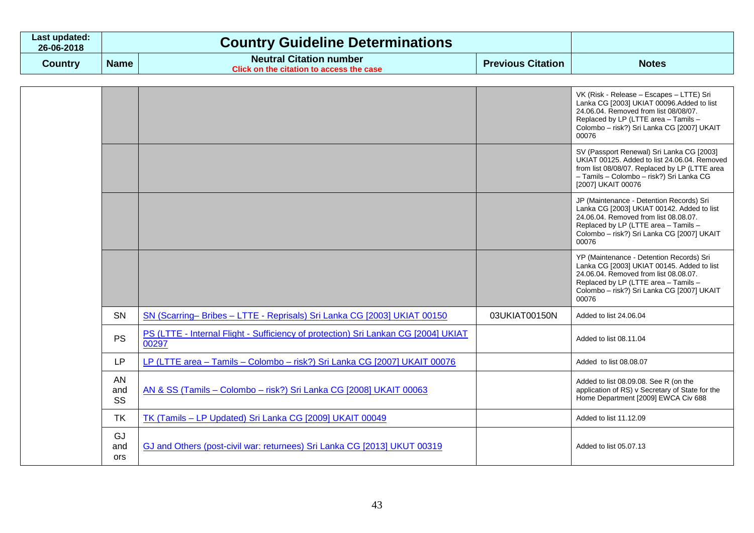| Last updated:<br>26-06-2018 |             | <b>Country Guideline Determinations</b>                                    |                          |              |
|-----------------------------|-------------|----------------------------------------------------------------------------|--------------------------|--------------|
| Country                     | <b>Name</b> | <b>Neutral Citation number</b><br>Click on the citation to access the case | <b>Previous Citation</b> | <b>Notes</b> |

|                         |                                                                                             |               | VK (Risk - Release - Escapes - LTTE) Sri<br>Lanka CG [2003] UKIAT 00096.Added to list<br>24.06.04. Removed from list 08/08/07.<br>Replaced by LP (LTTE area - Tamils -<br>Colombo - risk?) Sri Lanka CG [2007] UKAIT<br>00076  |
|-------------------------|---------------------------------------------------------------------------------------------|---------------|--------------------------------------------------------------------------------------------------------------------------------------------------------------------------------------------------------------------------------|
|                         |                                                                                             |               | SV (Passport Renewal) Sri Lanka CG [2003]<br>UKIAT 00125. Added to list 24.06.04. Removed<br>from list 08/08/07. Replaced by LP (LTTE area<br>- Tamils - Colombo - risk?) Sri Lanka CG<br>[2007] UKAIT 00076                   |
|                         |                                                                                             |               | JP (Maintenance - Detention Records) Sri<br>Lanka CG [2003] UKIAT 00142. Added to list<br>24.06.04. Removed from list 08.08.07.<br>Replaced by LP (LTTE area - Tamils -<br>Colombo - risk?) Sri Lanka CG [2007] UKAIT<br>00076 |
|                         |                                                                                             |               | YP (Maintenance - Detention Records) Sri<br>Lanka CG [2003] UKIAT 00145. Added to list<br>24.06.04. Removed from list 08.08.07.<br>Replaced by LP (LTTE area - Tamils -<br>Colombo - risk?) Sri Lanka CG [2007] UKAIT<br>00076 |
| <b>SN</b>               | SN (Scarring–Bribes – LTTE - Reprisals) Sri Lanka CG [2003] UKIAT 00150                     | 03UKIAT00150N | Added to list 24.06.04                                                                                                                                                                                                         |
| <b>PS</b>               | PS (LTTE - Internal Flight - Sufficiency of protection) Sri Lankan CG [2004] UKIAT<br>00297 |               | Added to list 08.11.04                                                                                                                                                                                                         |
| LP                      | LP (LTTE area - Tamils - Colombo - risk?) Sri Lanka CG [2007] UKAIT 00076                   |               | Added to list 08.08.07                                                                                                                                                                                                         |
| AN<br>and<br>SS         | AN & SS (Tamils - Colombo - risk?) Sri Lanka CG [2008] UKAIT 00063                          |               | Added to list 08.09.08. See R (on the<br>application of RS) v Secretary of State for the<br>Home Department [2009] EWCA Civ 688                                                                                                |
| <b>TK</b>               | TK (Tamils - LP Updated) Sri Lanka CG [2009] UKAIT 00049                                    |               | Added to list 11.12.09                                                                                                                                                                                                         |
| GJ<br>and<br><b>ors</b> | GJ and Others (post-civil war: returnees) Sri Lanka CG [2013] UKUT 00319                    |               | Added to list 05.07.13                                                                                                                                                                                                         |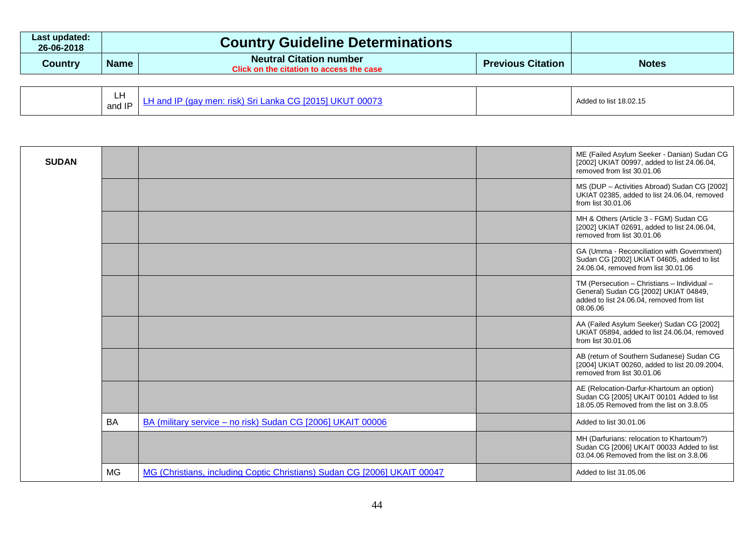| Last updated:<br>26-06-2018 |             | <b>Country Guideline Determinations</b>                                           |                          |              |
|-----------------------------|-------------|-----------------------------------------------------------------------------------|--------------------------|--------------|
| Country                     | <b>Name</b> | <b>Neutral Citation number</b><br><b>Click on the citation to access the case</b> | <b>Previous Citation</b> | <b>Notes</b> |

| ידמנ<br>--<br>men:<br>ו d II<br>rist<br>.<br>.<br>and IP | Added to list 18.02.15 |
|----------------------------------------------------------|------------------------|
|----------------------------------------------------------|------------------------|

| <b>SUDAN</b> |           |                                                                          | ME (Failed Asylum Seeker - Danian) Sudan CG<br>[2002] UKIAT 00997, added to list 24.06.04,<br>removed from list 30.01.06                      |
|--------------|-----------|--------------------------------------------------------------------------|-----------------------------------------------------------------------------------------------------------------------------------------------|
|              |           |                                                                          | MS (DUP - Activities Abroad) Sudan CG [2002]<br>UKIAT 02385, added to list 24.06.04, removed<br>from list 30.01.06                            |
|              |           |                                                                          | MH & Others (Article 3 - FGM) Sudan CG<br>[2002] UKIAT 02691, added to list 24.06.04,<br>removed from list 30.01.06                           |
|              |           |                                                                          | GA (Umma - Reconciliation with Government)<br>Sudan CG [2002] UKIAT 04605, added to list<br>24.06.04, removed from list 30.01.06              |
|              |           |                                                                          | TM (Persecution - Christians - Individual -<br>General) Sudan CG [2002] UKIAT 04849,<br>added to list 24.06.04, removed from list<br>08.06.06 |
|              |           |                                                                          | AA (Failed Asylum Seeker) Sudan CG [2002]<br>UKIAT 05894, added to list 24.06.04, removed<br>from list 30.01.06                               |
|              |           |                                                                          | AB (return of Southern Sudanese) Sudan CG<br>[2004] UKIAT 00260, added to list 20.09.2004,<br>removed from list 30.01.06                      |
|              |           |                                                                          | AE (Relocation-Darfur-Khartoum an option)<br>Sudan CG [2005] UKAIT 00101 Added to list<br>18.05.05 Removed from the list on 3.8.05            |
|              | <b>BA</b> | BA (military service - no risk) Sudan CG [2006] UKAIT 00006              | Added to list 30.01.06                                                                                                                        |
|              |           |                                                                          | MH (Darfurians: relocation to Khartoum?)<br>Sudan CG [2006] UKAIT 00033 Added to list<br>03.04.06 Removed from the list on 3.8.06             |
|              | <b>MG</b> | MG (Christians, including Coptic Christians) Sudan CG [2006] UKAIT 00047 | Added to list 31,05,06                                                                                                                        |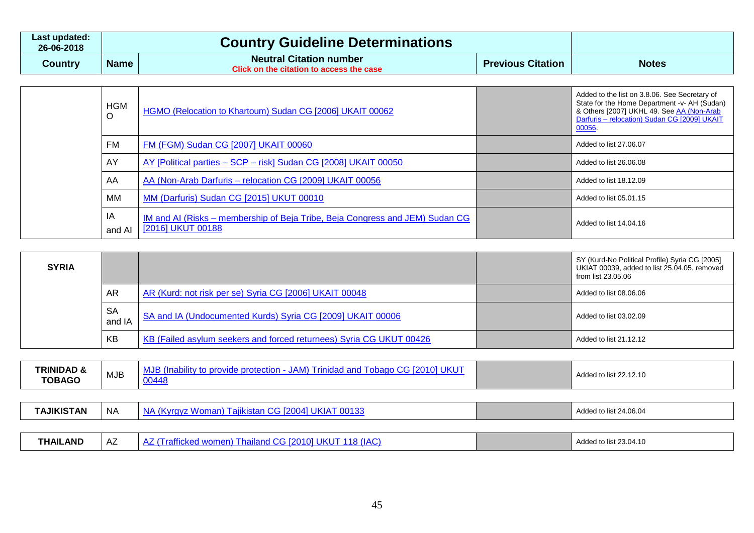| Last updated:<br>26-06-2018 |             | <b>Country Guideline Determinations</b>                                    |                          |              |
|-----------------------------|-------------|----------------------------------------------------------------------------|--------------------------|--------------|
| Country                     | <b>Name</b> | <b>Neutral Citation number</b><br>Click on the citation to access the case | <b>Previous Citation</b> | <b>Notes</b> |

| <b>HGM</b>   | HGMO (Relocation to Khartoum) Sudan CG [2006] UKAIT 00062                                         | Added to the list on 3.8.06. See Secretary of<br>State for the Home Department -v- AH (Sudan)<br>& Others [2007] UKHL 49. See AA (Non-Arab<br>Darfuris - relocation) Sudan CG [2009] UKAIT<br>00056. |
|--------------|---------------------------------------------------------------------------------------------------|------------------------------------------------------------------------------------------------------------------------------------------------------------------------------------------------------|
| <b>FM</b>    | FM (FGM) Sudan CG [2007] UKAIT 00060                                                              | Added to list 27,06,07                                                                                                                                                                               |
| AY           | AY [Political parties - SCP - risk] Sudan CG [2008] UKAIT 00050                                   | Added to list 26,06,08                                                                                                                                                                               |
| AA           | AA (Non-Arab Darfuris - relocation CG [2009] UKAIT 00056                                          | Added to list 18.12.09                                                                                                                                                                               |
| МM           | MM (Darfuris) Sudan CG [2015] UKUT 00010                                                          | Added to list 05.01.15                                                                                                                                                                               |
| ΙA<br>and AI | IM and AI (Risks – membership of Beja Tribe, Beja Congress and JEM) Sudan CG<br>[2016] UKUT 00188 | Added to list 14.04.16                                                                                                                                                                               |

| <b>SYRIA</b> |                     |                                                                     | SY (Kurd-No Political Profile) Syria CG [2005]<br>UKIAT 00039, added to list 25.04.05, removed<br>from list 23.05.06 |
|--------------|---------------------|---------------------------------------------------------------------|----------------------------------------------------------------------------------------------------------------------|
|              | <b>AR</b>           | AR (Kurd: not risk per se) Syria CG [2006] UKAIT 00048              | Added to list 08.06.06                                                                                               |
|              | <b>SA</b><br>and IA | SA and IA (Undocumented Kurds) Syria CG [2009] UKAIT 00006          | Added to list 03.02.09                                                                                               |
|              | KB                  | KB (Failed asylum seekers and forced returnees) Syria CG UKUT 00426 | Added to list 21.12.12                                                                                               |

| TRINIDAD &<br><b>TOBAGO</b> | <b>MJB</b> | MJB (Inability to provide protection - JAM) Trinidad and Tobago CG [2010] UKUT<br>00448 | Added to list 22.12.10 |
|-----------------------------|------------|-----------------------------------------------------------------------------------------|------------------------|
|                             |            |                                                                                         |                        |
| <b>TAJIKISTAN</b>           | <b>NA</b>  | NA (Kyrgyz Woman) Tajikistan CG [2004] UKIAT 00133                                      | Added to list 24.06.04 |
|                             |            |                                                                                         |                        |
| <b>THAILAND</b>             | AZ         | AZ (Trafficked women) Thailand CG [2010] UKUT 118 (IAC)                                 | Added to list 23.04.10 |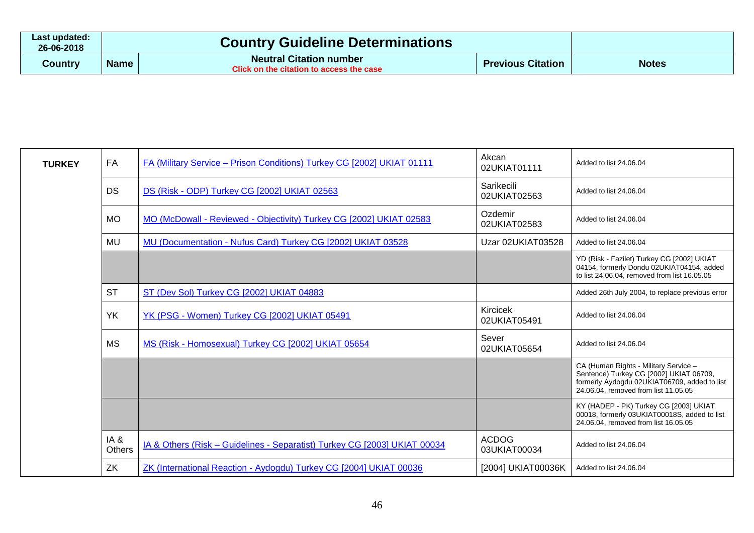| Last updated:<br>26-06-2018 | <b>Country Guideline Determinations</b> |                                                                                                          |                          |              |
|-----------------------------|-----------------------------------------|----------------------------------------------------------------------------------------------------------|--------------------------|--------------|
| Country                     | <b>Name</b>                             | <b>Neutral Citation number</b><br>$\blacksquare$ Click on the citation to access the case $\blacksquare$ | <b>Previous Citation</b> | <b>Notes</b> |

| <b>TURKEY</b> | <b>FA</b>     | FA (Military Service – Prison Conditions) Turkey CG [2002] UKIAT 01111    | Akcan<br>02UKIAT01111        | Added to list 24,06,04                                                                                                                                                   |
|---------------|---------------|---------------------------------------------------------------------------|------------------------------|--------------------------------------------------------------------------------------------------------------------------------------------------------------------------|
|               | <b>DS</b>     | DS (Risk - ODP) Turkey CG [2002] UKIAT 02563                              | Sarikecili<br>02UKIAT02563   | Added to list 24.06.04                                                                                                                                                   |
|               | <b>MO</b>     | MO (McDowall - Reviewed - Objectivity) Turkey CG [2002] UKIAT 02583       | Ozdemir<br>02UKIAT02583      | Added to list 24.06.04                                                                                                                                                   |
|               | <b>MU</b>     | MU (Documentation - Nufus Card) Turkey CG [2002] UKIAT 03528              | Uzar 02UKIAT03528            | Added to list 24.06.04                                                                                                                                                   |
|               |               |                                                                           |                              | YD (Risk - Fazilet) Turkey CG [2002] UKIAT<br>04154, formerly Dondu 02UKIAT04154, added<br>to list 24.06.04, removed from list 16.05.05                                  |
|               | <b>ST</b>     | ST (Dev Sol) Turkey CG [2002] UKIAT 04883                                 |                              | Added 26th July 2004, to replace previous error                                                                                                                          |
|               | <b>YK</b>     | YK (PSG - Women) Turkey CG [2002] UKIAT 05491                             | Kircicek<br>02UKIAT05491     | Added to list 24.06.04                                                                                                                                                   |
|               | <b>MS</b>     | MS (Risk - Homosexual) Turkey CG [2002] UKIAT 05654                       | Sever<br>02UKIAT05654        | Added to list 24.06.04                                                                                                                                                   |
|               |               |                                                                           |                              | CA (Human Rights - Military Service -<br>Sentence) Turkey CG [2002] UKIAT 06709,<br>formerly Aydogdu 02UKIAT06709, added to list<br>24.06.04, removed from list 11.05.05 |
|               |               |                                                                           |                              | KY (HADEP - PK) Turkey CG [2003] UKIAT<br>00018, formerly 03UKIAT00018S, added to list<br>24.06.04, removed from list 16.05.05                                           |
|               | IA&<br>Others | IA & Others (Risk - Guidelines - Separatist) Turkey CG [2003] UKIAT 00034 | <b>ACDOG</b><br>03UKIAT00034 | Added to list 24.06.04                                                                                                                                                   |
|               | ZK            | ZK (International Reaction - Aydogdu) Turkey CG [2004] UKIAT 00036        | [2004] UKIAT00036K           | Added to list 24,06,04                                                                                                                                                   |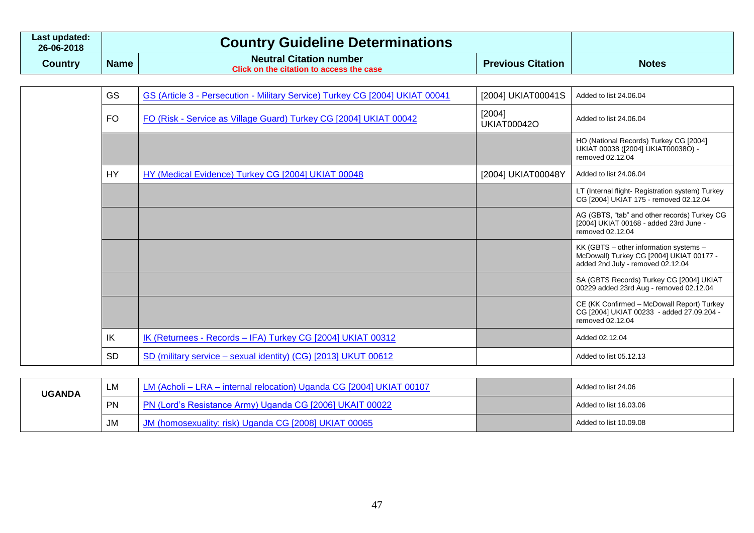| ∟ast updated:<br>26-06-2018 |             | <b>Country Guideline Determinations</b>                                    |                          |              |
|-----------------------------|-------------|----------------------------------------------------------------------------|--------------------------|--------------|
| Country                     | <b>Name</b> | <b>Neutral Citation number</b><br>Click on the citation to access the case | <b>Previous Citation</b> | <b>Notes</b> |

| <b>GS</b> | GS (Article 3 - Persecution - Military Service) Turkey CG [2004] UKIAT 00041 | [2004] UKIAT00041S             | Added to list 24.06.04                                                                                                  |
|-----------|------------------------------------------------------------------------------|--------------------------------|-------------------------------------------------------------------------------------------------------------------------|
| FO.       | FO (Risk - Service as Village Guard) Turkey CG [2004] UKIAT 00042            | $[2004]$<br><b>UKIAT00042O</b> | Added to list 24.06.04                                                                                                  |
|           |                                                                              |                                | HO (National Records) Turkey CG [2004]<br>UKIAT 00038 ([2004] UKIAT00038O) -<br>removed 02.12.04                        |
| <b>HY</b> | HY (Medical Evidence) Turkey CG [2004] UKIAT 00048                           | [2004] UKIAT00048Y             | Added to list 24.06.04                                                                                                  |
|           |                                                                              |                                | LT (Internal flight- Registration system) Turkey<br>CG [2004] UKIAT 175 - removed 02.12.04                              |
|           |                                                                              |                                | AG (GBTS, "tab" and other records) Turkey CG<br>[2004] UKIAT 00168 - added 23rd June -<br>removed 02.12.04              |
|           |                                                                              |                                | KK (GBTS – other information systems –<br>McDowall) Turkey CG [2004] UKIAT 00177 -<br>added 2nd July - removed 02.12.04 |
|           |                                                                              |                                | SA (GBTS Records) Turkey CG [2004] UKIAT<br>00229 added 23rd Aug - removed 02.12.04                                     |
|           |                                                                              |                                | CE (KK Confirmed - McDowall Report) Turkey<br>CG [2004] UKIAT 00233 - added 27.09.204 -<br>removed 02.12.04             |
| IK        | IK (Returnees - Records - IFA) Turkey CG [2004] UKIAT 00312                  |                                | Added 02.12.04                                                                                                          |
| <b>SD</b> | SD (military service - sexual identity) (CG) [2013] UKUT 00612               |                                | Added to list 05.12.13                                                                                                  |

| <b>UGANDA</b> | LM        | LM (Acholi – LRA – internal relocation) Uganda CG [2004] UKIAT 00107 | Added to list 24.06    |
|---------------|-----------|----------------------------------------------------------------------|------------------------|
|               | <b>PN</b> | PN (Lord's Resistance Army) Uganda CG [2006] UKAIT 00022             | Added to list 16.03.06 |
|               | <b>JM</b> | I (homosexuality: risk) Uganda CG [2008] UKIAT 00065                 | Added to list 10.09.08 |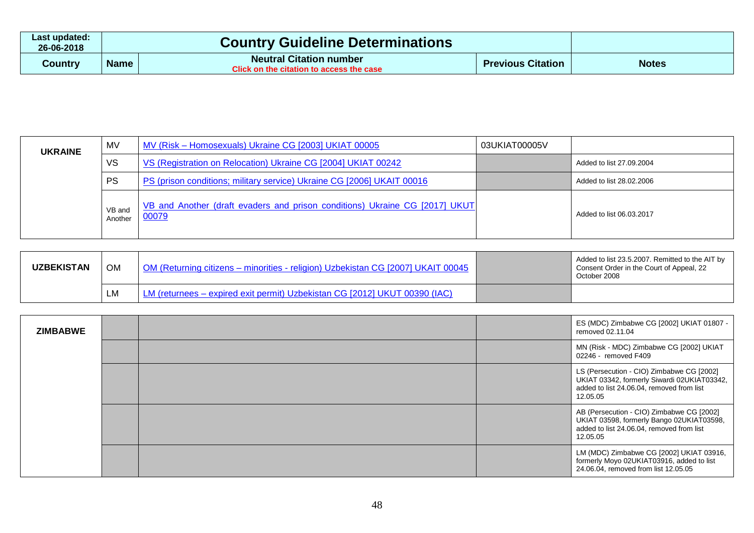| Last updated:<br>26-06-2018 | <b>Country Guideline Determinations</b> |                                                                            |                          |              |
|-----------------------------|-----------------------------------------|----------------------------------------------------------------------------|--------------------------|--------------|
| Country                     | <b>Name</b>                             | <b>Neutral Citation number</b><br>Click on the citation to access the case | <b>Previous Citation</b> | <b>Notes</b> |

| <b>UKRAINE</b> | MV                | MV (Risk - Homosexuals) Ukraine CG [2003] UKIAT 00005                                | 03UKIAT00005V |                          |
|----------------|-------------------|--------------------------------------------------------------------------------------|---------------|--------------------------|
|                | <b>VS</b>         | VS (Registration on Relocation) Ukraine CG [2004] UKIAT 00242                        |               | Added to list 27.09.2004 |
|                | PS                | PS (prison conditions; military service) Ukraine CG [2006] UKAIT 00016               |               | Added to list 28.02.2006 |
|                | VB and<br>Another | VB and Another (draft evaders and prison conditions) Ukraine CG [2017] UKUT<br>00079 |               | Added to list 06.03.2017 |

| UZBEKISTAN | <b>OM</b> | OM (Returning citizens – minorities - religion) Uzbekistan CG [2007] UKAIT 00045 | Added to list 23.5.2007. Remitted to the AIT by<br>Consent Order in the Court of Appeal, 22<br>October 2008 |
|------------|-----------|----------------------------------------------------------------------------------|-------------------------------------------------------------------------------------------------------------|
|            | LM        | LM (returnees - expired exit permit) Uzbekistan CG [2012] UKUT 00390 (IAC)       |                                                                                                             |

| <b>ZIMBABWE</b> |  | ES (MDC) Zimbabwe CG [2002] UKIAT 01807 -<br>removed 02.11.04                                                                                     |
|-----------------|--|---------------------------------------------------------------------------------------------------------------------------------------------------|
|                 |  | MN (Risk - MDC) Zimbabwe CG [2002] UKIAT<br>02246 - removed F409                                                                                  |
|                 |  | LS (Persecution - CIO) Zimbabwe CG [2002]<br>UKIAT 03342, formerly Siwardi 02UKIAT03342,<br>added to list 24.06.04, removed from list<br>12.05.05 |
|                 |  | AB (Persecution - CIO) Zimbabwe CG [2002]<br>UKIAT 03598, formerly Bango 02UKIAT03598,<br>added to list 24.06.04, removed from list<br>12.05.05   |
|                 |  | LM (MDC) Zimbabwe CG [2002] UKIAT 03916,<br>formerly Moyo 02UKIAT03916, added to list<br>24.06.04, removed from list 12.05.05                     |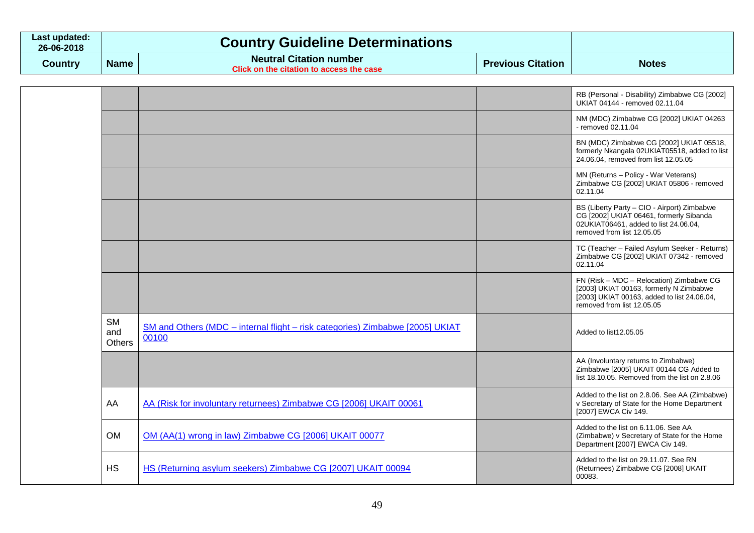| ∟ast updated:<br>26-06-2018 |             | <b>Country Guideline Determinations</b>                                    |                          |              |
|-----------------------------|-------------|----------------------------------------------------------------------------|--------------------------|--------------|
| Country                     | <b>Name</b> | <b>Neutral Citation number</b><br>Click on the citation to access the case | <b>Previous Citation</b> | <b>Notes</b> |

|                                   |                                                                                        | RB (Personal - Disability) Zimbabwe CG [2002]<br>UKIAT 04144 - removed 02.11.04                                                                                  |
|-----------------------------------|----------------------------------------------------------------------------------------|------------------------------------------------------------------------------------------------------------------------------------------------------------------|
|                                   |                                                                                        | NM (MDC) Zimbabwe CG [2002] UKIAT 04263<br>- removed 02.11.04                                                                                                    |
|                                   |                                                                                        | BN (MDC) Zimbabwe CG [2002] UKIAT 05518,<br>formerly Nkangala 02UKIAT05518, added to list<br>24.06.04, removed from list 12.05.05                                |
|                                   |                                                                                        | MN (Returns - Policy - War Veterans)<br>Zimbabwe CG [2002] UKIAT 05806 - removed<br>02.11.04                                                                     |
|                                   |                                                                                        | BS (Liberty Party - CIO - Airport) Zimbabwe<br>CG [2002] UKIAT 06461, formerly Sibanda<br>02UKIAT06461, added to list 24.06.04,<br>removed from list 12.05.05    |
|                                   |                                                                                        | TC (Teacher - Failed Asylum Seeker - Returns)<br>Zimbabwe CG [2002] UKIAT 07342 - removed<br>02.11.04                                                            |
|                                   |                                                                                        | FN (Risk - MDC - Relocation) Zimbabwe CG<br>[2003] UKIAT 00163, formerly N Zimbabwe<br>[2003] UKIAT 00163, added to list 24.06.04,<br>removed from list 12.05.05 |
| <b>SM</b><br>and<br><b>Others</b> | SM and Others (MDC - internal flight - risk categories) Zimbabwe [2005] UKIAT<br>00100 | Added to list12.05.05                                                                                                                                            |
|                                   |                                                                                        | AA (Involuntary returns to Zimbabwe)<br>Zimbabwe [2005] UKAIT 00144 CG Added to<br>list 18.10.05. Removed from the list on 2.8.06                                |
| AA                                | AA (Risk for involuntary returnees) Zimbabwe CG [2006] UKAIT 00061                     | Added to the list on 2.8.06. See AA (Zimbabwe)<br>v Secretary of State for the Home Department<br>[2007] EWCA Civ 149.                                           |
| <b>OM</b>                         | OM (AA(1) wrong in law) Zimbabwe CG [2006] UKAIT 00077                                 | Added to the list on 6.11.06. See AA<br>(Zimbabwe) v Secretary of State for the Home<br>Department [2007] EWCA Civ 149.                                          |
| <b>HS</b>                         | HS (Returning asylum seekers) Zimbabwe CG [2007] UKAIT 00094                           | Added to the list on 29.11.07. See RN<br>(Returnees) Zimbabwe CG [2008] UKAIT<br>00083.                                                                          |